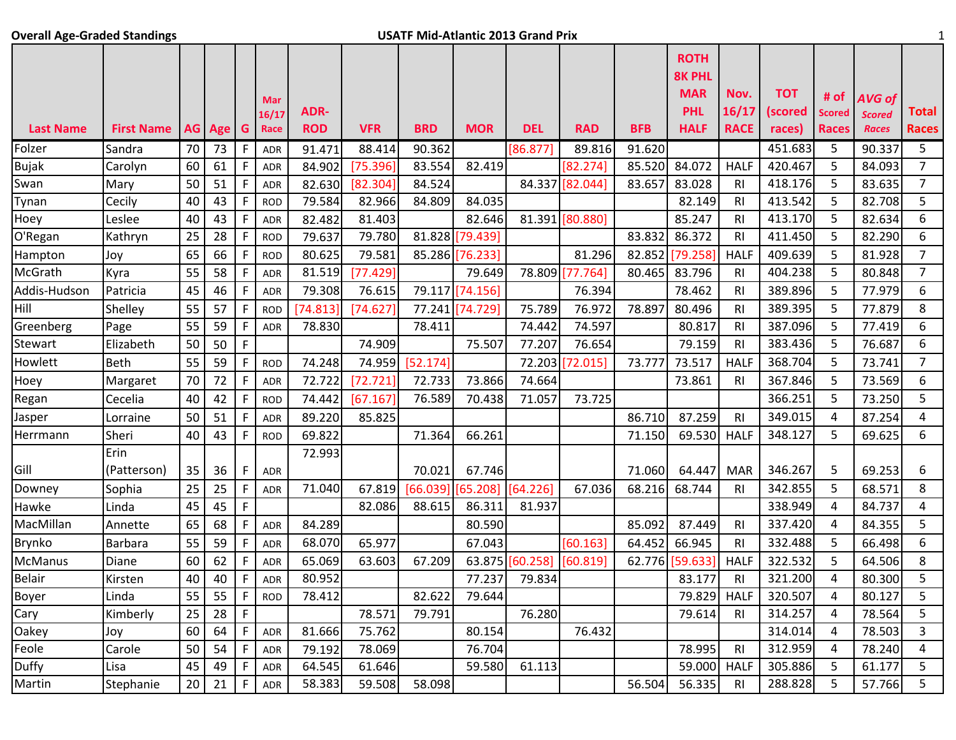## **Overall Age-Graded Standings 1** 1

|                  |                   |    |          |              |            |            |            |            |                 |            |                 |            | <b>ROTH</b><br><b>8K PHL</b> |                |            |               |               |                |
|------------------|-------------------|----|----------|--------------|------------|------------|------------|------------|-----------------|------------|-----------------|------------|------------------------------|----------------|------------|---------------|---------------|----------------|
|                  |                   |    |          |              | Mar        |            |            |            |                 |            |                 |            | <b>MAR</b>                   | Nov.           | <b>TOT</b> | # of          | <b>AVG of</b> |                |
|                  |                   |    |          |              | 16/17      | ADR-       |            |            |                 |            |                 |            | <b>PHL</b>                   | 16/17          | (scored    | <b>Scored</b> | <b>Scored</b> | <b>Total</b>   |
| <b>Last Name</b> | <b>First Name</b> |    | AG Age G |              | Race       | <b>ROD</b> | <b>VFR</b> | <b>BRD</b> | <b>MOR</b>      | <b>DEL</b> | <b>RAD</b>      | <b>BFB</b> | <b>HALF</b>                  | <b>RACE</b>    | races)     | <b>Races</b>  | <b>Races</b>  | <b>Races</b>   |
| Folzer           | Sandra            | 70 | 73       | F            | <b>ADR</b> | 91.471     | 88.414     | 90.362     |                 | [86.877]   | 89.816          | 91.620     |                              |                | 451.683    | 5             | 90.337        | 5              |
| <b>Bujak</b>     | Carolyn           | 60 | 61       | $\mathsf F$  | ADR        | 84.902     | [75.396]   | 83.554     | 82.419          |            | [82.274]        | 85.520     | 84.072                       | <b>HALF</b>    | 420.467    | 5             | 84.093        | $\overline{7}$ |
| Swan             | Mary              | 50 | 51       | F            | ADR        | 82.630     | [82.304]   | 84.524     |                 |            | 84.337 [82.044] | 83.657     | 83.028                       | <b>RI</b>      | 418.176    | 5             | 83.635        | $\overline{7}$ |
| Tynan            | Cecily            | 40 | 43       | $\mathsf F$  | <b>ROD</b> | 79.584     | 82.966     | 84.809     | 84.035          |            |                 |            | 82.149                       | <b>RI</b>      | 413.542    | 5             | 82.708        | 5              |
| Hoey             | Leslee            | 40 | 43       | $\mathsf F$  | ADR        | 82.482     | 81.403     |            | 82.646          |            | 81.391 [80.880] |            | 85.247                       | RI             | 413.170    | 5             | 82.634        | 6              |
| O'Regan          | Kathryn           | 25 | 28       | $\mathsf F$  | <b>ROD</b> | 79.637     | 79.780     |            | 81.828 [79.439] |            |                 | 83.832     | 86.372                       | R <sub>l</sub> | 411.450    | 5             | 82.290        | 6              |
| Hampton          | Joy               | 65 | 66       | F            | <b>ROD</b> | 80.625     | 79.581     |            | 85.286 [76.233] |            | 81.296          | 82.852     | [79.258]                     | <b>HALF</b>    | 409.639    | 5             | 81.928        | $\overline{7}$ |
| McGrath          | Kyra              | 55 | 58       | $\mathsf F$  | ADR        | 81.519     | [77.429]   |            | 79.649          | 78.809     | 77.764          | 80.465     | 83.796                       | R <sub>l</sub> | 404.238    | 5             | 80.848        | $\overline{7}$ |
| Addis-Hudson     | Patricia          | 45 | 46       | $\mathsf F$  | <b>ADR</b> | 79.308     | 76.615     |            | 79.117 [74.156] |            | 76.394          |            | 78.462                       | RI             | 389.896    | 5             | 77.979        | 6              |
| Hill             | Shelley           | 55 | 57       | $\mathsf F$  | <b>ROD</b> | [74.813]   | [74.627]   |            | 77.241 [74.729] | 75.789     | 76.972          | 78.897     | 80.496                       | R <sub>l</sub> | 389.395    | 5             | 77.879        | 8              |
| Greenberg        | Page              | 55 | 59       | $\mathsf F$  | <b>ADR</b> | 78.830     |            | 78.411     |                 | 74.442     | 74.597          |            | 80.817                       | R <sub>l</sub> | 387.096    | 5             | 77.419        | 6              |
| Stewart          | Elizabeth         | 50 | 50       | $\mathsf{F}$ |            |            | 74.909     |            | 75.507          | 77.207     | 76.654          |            | 79.159                       | RI             | 383.436    | 5             | 76.687        | 6              |
| Howlett          | <b>Beth</b>       | 55 | 59       | $\mathsf F$  | <b>ROD</b> | 74.248     | 74.959     | [52.174]   |                 |            | 72.203 [72.015] | 73.777     | 73.517                       | <b>HALF</b>    | 368.704    | 5             | 73.741        | $\overline{7}$ |
| Hoey             | Margaret          | 70 | 72       | $\mathsf F$  | ADR        | 72.722     | [72.721]   | 72.733     | 73.866          | 74.664     |                 |            | 73.861                       | R <sub>l</sub> | 367.846    | 5             | 73.569        | 6              |
| Regan            | Cecelia           | 40 | 42       | $\mathsf F$  | <b>ROD</b> | 74.442     | [67.167]   | 76.589     | 70.438          | 71.057     | 73.725          |            |                              |                | 366.251    | 5             | 73.250        | 5              |
| Jasper           | Lorraine          | 50 | 51       | F            | ADR        | 89.220     | 85.825     |            |                 |            |                 | 86.710     | 87.259                       | R <sub>l</sub> | 349.015    | 4             | 87.254        | 4              |
| Herrmann         | Sheri             | 40 | 43       | $\mathsf F$  | <b>ROD</b> | 69.822     |            | 71.364     | 66.261          |            |                 | 71.150     | 69.530                       | <b>HALF</b>    | 348.127    | 5             | 69.625        | 6              |
|                  | Erin              |    |          |              |            | 72.993     |            |            |                 |            |                 |            |                              |                |            |               |               |                |
| Gill             | (Patterson)       | 35 | 36       | F            | <b>ADR</b> |            |            | 70.021     | 67.746          |            |                 | 71.060     | 64.447                       | <b>MAR</b>     | 346.267    | 5             | 69.253        | 6              |
| Downey           | Sophia            | 25 | 25       | F            | ADR        | 71.040     | 67.819     | [66.039]   | [65.208]        | [64.226]   | 67.036          | 68.216     | 68.744                       | RI             | 342.855    | 5             | 68.571        | 8              |
| Hawke            | Linda             | 45 | 45       | $\mathsf F$  |            |            | 82.086     | 88.615     | 86.311          | 81.937     |                 |            |                              |                | 338.949    | 4             | 84.737        | 4              |
| MacMillan        | Annette           | 65 | 68       | F            | ADR        | 84.289     |            |            | 80.590          |            |                 | 85.092     | 87.449                       | R <sub>l</sub> | 337.420    | 4             | 84.355        | 5              |
| Brynko           | <b>Barbara</b>    | 55 | 59       | $\mathsf F$  | ADR        | 68.070     | 65.977     |            | 67.043          |            | [60.163]        | 64.452     | 66.945                       | <b>RI</b>      | 332.488    | 5             | 66.498        | 6              |
| McManus          | Diane             | 60 | 62       | F            | <b>ADR</b> | 65.069     | 63.603     | 67.209     | 63.875          | [60.258]   | [60.819]        | 62.776     | [59.633]                     | <b>HALF</b>    | 322.532    | 5             | 64.506        | 8              |
| <b>Belair</b>    | Kirsten           | 40 | 40       | $\mathsf F$  | <b>ADR</b> | 80.952     |            |            | 77.237          | 79.834     |                 |            | 83.177                       | <b>RI</b>      | 321.200    | 4             | 80.300        | 5              |
| Boyer            | Linda             | 55 | 55       | $\mathsf F$  | <b>ROD</b> | 78.412     |            | 82.622     | 79.644          |            |                 |            | 79.829                       | <b>HALF</b>    | 320.507    | 4             | 80.127        | 5              |
| Cary             | Kimberly          | 25 | 28       | $\mathsf F$  |            |            | 78.571     | 79.791     |                 | 76.280     |                 |            | 79.614                       | R <sub>l</sub> | 314.257    | 4             | 78.564        | 5              |
| Oakey            | Joy               | 60 | 64       | F            | <b>ADR</b> | 81.666     | 75.762     |            | 80.154          |            | 76.432          |            |                              |                | 314.014    | 4             | 78.503        | 3              |
| Feole            | Carole            | 50 | 54       | F            | <b>ADR</b> | 79.192     | 78.069     |            | 76.704          |            |                 |            | 78.995                       | R <sub>l</sub> | 312.959    | 4             | 78.240        | 4              |
| Duffy            | Lisa              | 45 | 49       | F            | <b>ADR</b> | 64.545     | 61.646     |            | 59.580          | 61.113     |                 |            | 59.000                       | <b>HALF</b>    | 305.886    | 5             | 61.177        | 5              |
| Martin           | Stephanie         | 20 | 21       | F            | ADR        | 58.383     | 59.508     | 58.098     |                 |            |                 | 56.504     | 56.335                       | <b>RI</b>      | 288.828    | 5             | 57.766        | 5 <sup>1</sup> |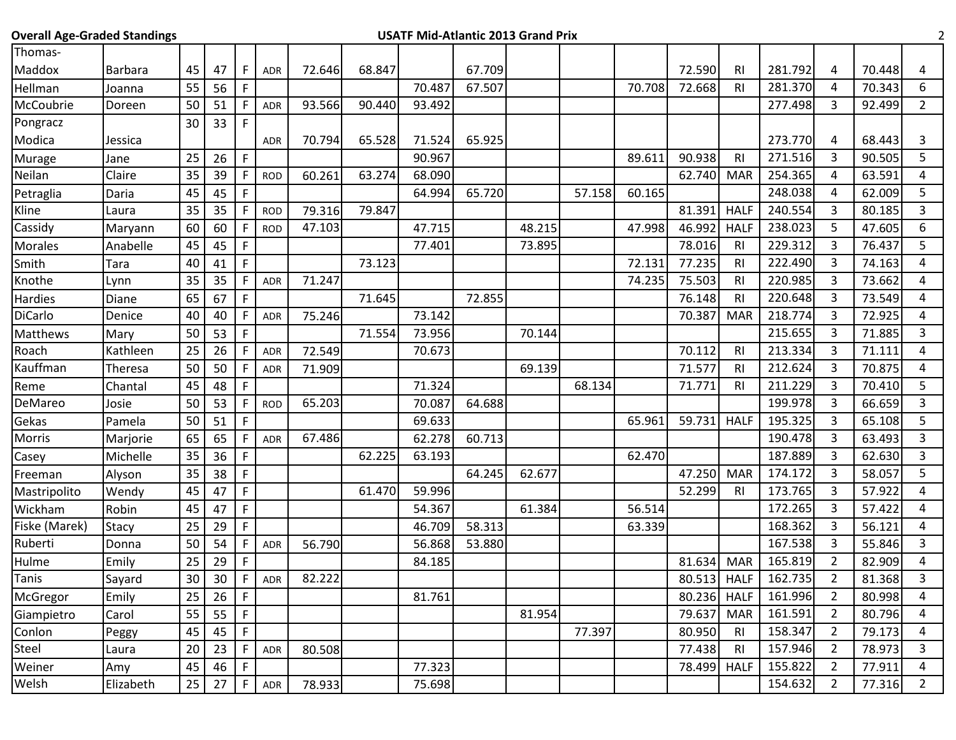| <b>Overall Age-Graded Standings</b> |              |                 |    |              |            |        |        | <b>USATF Mid-Atlantic 2013 Grand Prix</b> |        |        |        |        |             |                |         |                |        | 2              |
|-------------------------------------|--------------|-----------------|----|--------------|------------|--------|--------|-------------------------------------------|--------|--------|--------|--------|-------------|----------------|---------|----------------|--------|----------------|
| Thomas-                             |              |                 |    |              |            |        |        |                                           |        |        |        |        |             |                |         |                |        |                |
| Maddox                              | Barbara      | 45              | 47 | F            | <b>ADR</b> | 72.646 | 68.847 |                                           | 67.709 |        |        |        | 72.590      | R <sub>l</sub> | 281.792 | 4              | 70.448 | 4              |
| Hellman                             | Joanna       | 55              | 56 | F            |            |        |        | 70.487                                    | 67.507 |        |        | 70.708 | 72.668      | R <sub>1</sub> | 281.370 | 4              | 70.343 | 6              |
| McCoubrie                           | Doreen       | 50              | 51 | F            | ADR        | 93.566 | 90.440 | 93.492                                    |        |        |        |        |             |                | 277.498 | 3              | 92.499 | $\overline{2}$ |
| Pongracz                            |              | 30              | 33 | $\mathsf{F}$ |            |        |        |                                           |        |        |        |        |             |                |         |                |        |                |
| Modica                              | Jessica      |                 |    |              | <b>ADR</b> | 70.794 | 65.528 | 71.524                                    | 65.925 |        |        |        |             |                | 273.770 | 4              | 68.443 | 3              |
| Murage                              | Jane         | 25              | 26 | $\mathsf F$  |            |        |        | 90.967                                    |        |        |        | 89.611 | 90.938      | R <sub>l</sub> | 271.516 | 3              | 90.505 | 5              |
| Neilan                              | Claire       | 35              | 39 | F            | <b>ROD</b> | 60.261 | 63.274 | 68.090                                    |        |        |        |        | 62.740      | <b>MAR</b>     | 254.365 | 4              | 63.591 | 4              |
| Petraglia                           | Daria        | 45              | 45 | F            |            |        |        | 64.994                                    | 65.720 |        | 57.158 | 60.165 |             |                | 248.038 | 4              | 62.009 | 5              |
| Kline                               | Laura        | 35              | 35 | F            | <b>ROD</b> | 79.316 | 79.847 |                                           |        |        |        |        | 81.391      | <b>HALF</b>    | 240.554 | 3              | 80.185 | 3              |
| Cassidy                             | Maryann      | 60              | 60 | F            | <b>ROD</b> | 47.103 |        | 47.715                                    |        | 48.215 |        | 47.998 | 46.992      | <b>HALF</b>    | 238.023 | 5              | 47.605 | 6              |
| Morales                             | Anabelle     | 45              | 45 | $\mathsf F$  |            |        |        | 77.401                                    |        | 73.895 |        |        | 78.016      | R <sub>l</sub> | 229.312 | 3              | 76.437 | 5              |
| Smith                               | Tara         | 40              | 41 | F            |            |        | 73.123 |                                           |        |        |        | 72.131 | 77.235      | <b>RI</b>      | 222.490 | 3              | 74.163 | 4              |
| Knothe                              | Lynn         | 35              | 35 | F            | ADR        | 71.247 |        |                                           |        |        |        | 74.235 | 75.503      | <b>RI</b>      | 220.985 | 3              | 73.662 | 4              |
| Hardies                             | Diane        | 65              | 67 | F            |            |        | 71.645 |                                           | 72.855 |        |        |        | 76.148      | R <sub>l</sub> | 220.648 | 3              | 73.549 | 4              |
| DiCarlo                             | Denice       | 40              | 40 | F            | <b>ADR</b> | 75.246 |        | 73.142                                    |        |        |        |        | 70.387      | <b>MAR</b>     | 218.774 | 3              | 72.925 | 4              |
| Matthews                            | Mary         | 50              | 53 | F            |            |        | 71.554 | 73.956                                    |        | 70.144 |        |        |             |                | 215.655 | 3              | 71.885 | 3              |
| Roach                               | Kathleen     | 25              | 26 | F            | ADR        | 72.549 |        | 70.673                                    |        |        |        |        | 70.112      | R <sub>l</sub> | 213.334 | 3              | 71.111 | 4              |
| Kauffman                            | Theresa      | 50              | 50 | $\mathsf{F}$ | <b>ADR</b> | 71.909 |        |                                           |        | 69.139 |        |        | 71.577      | R <sub>l</sub> | 212.624 | $\overline{3}$ | 70.875 | 4              |
| Reme                                | Chantal      | 45              | 48 | F            |            |        |        | 71.324                                    |        |        | 68.134 |        | 71.771      | R <sub>l</sub> | 211.229 | 3              | 70.410 | 5              |
| DeMareo                             | Josie        | 50              | 53 | F            | <b>ROD</b> | 65.203 |        | 70.087                                    | 64.688 |        |        |        |             |                | 199.978 | 3              | 66.659 | 3              |
| Gekas                               | Pamela       | 50              | 51 | F            |            |        |        | 69.633                                    |        |        |        | 65.961 | 59.731      | <b>HALF</b>    | 195.325 | 3              | 65.108 | 5              |
| Morris                              | Marjorie     | 65              | 65 | F            | <b>ADR</b> | 67.486 |        | 62.278                                    | 60.713 |        |        |        |             |                | 190.478 | 3              | 63.493 | $\overline{3}$ |
| Casey                               | Michelle     | 35              | 36 | $\mathsf F$  |            |        | 62.225 | 63.193                                    |        |        |        | 62.470 |             |                | 187.889 | 3              | 62.630 | 3              |
| Freeman                             | Alyson       | 35              | 38 | F            |            |        |        |                                           | 64.245 | 62.677 |        |        | 47.250      | <b>MAR</b>     | 174.172 | 3              | 58.057 | 5              |
| Mastripolito                        | Wendy        | 45              | 47 | F            |            |        | 61.470 | 59.996                                    |        |        |        |        | 52.299      | R <sub>l</sub> | 173.765 | 3              | 57.922 | 4              |
| Wickham                             | Robin        | 45              | 47 | F            |            |        |        | 54.367                                    |        | 61.384 |        | 56.514 |             |                | 172.265 | 3              | 57.422 | 4              |
| Fiske (Marek)                       | <b>Stacy</b> | 25              | 29 | F            |            |        |        | 46.709                                    | 58.313 |        |        | 63.339 |             |                | 168.362 | 3              | 56.121 | 4              |
| Ruberti                             | Donna        | 50              | 54 | F            | <b>ADR</b> | 56.790 |        | 56.868                                    | 53.880 |        |        |        |             |                | 167.538 | 3              | 55.846 | 3              |
| Hulme                               | Emily        | 25              | 29 | F            |            |        |        | 84.185                                    |        |        |        |        | 81.634      | <b>MAR</b>     | 165.819 | $\overline{2}$ | 82.909 | 4              |
| Tanis                               | Sayard       | 30 <sup>1</sup> | 30 | F            | ADR        | 82.222 |        |                                           |        |        |        |        | 80.513 HALF |                | 162.735 | $\overline{2}$ | 81.368 | 3              |
| McGregor                            | Emily        | 25              | 26 | $\mathsf F$  |            |        |        | 81.761                                    |        |        |        |        | 80.236      | <b>HALF</b>    | 161.996 | $\overline{2}$ | 80.998 | 4              |
| Giampietro                          | Carol        | 55              | 55 | F            |            |        |        |                                           |        | 81.954 |        |        | 79.637      | <b>MAR</b>     | 161.591 | $\overline{2}$ | 80.796 | 4              |
| Conlon                              | Peggy        | 45              | 45 | $\mathsf F$  |            |        |        |                                           |        |        | 77.397 |        | 80.950      | R <sub>l</sub> | 158.347 | $\overline{2}$ | 79.173 | 4              |
| Steel                               | Laura        | 20              | 23 | F            | ADR        | 80.508 |        |                                           |        |        |        |        | 77.438      | <b>RI</b>      | 157.946 | $\overline{2}$ | 78.973 | 3              |
| Weiner                              | Amy          | 45              | 46 | F            |            |        |        | 77.323                                    |        |        |        |        | 78.499      | <b>HALF</b>    | 155.822 | $\overline{2}$ | 77.911 | 4              |
| Welsh                               | Elizabeth    | 25              | 27 | F            | ADR        | 78.933 |        | 75.698                                    |        |        |        |        |             |                | 154.632 | $\overline{2}$ | 77.316 | $2^{\circ}$    |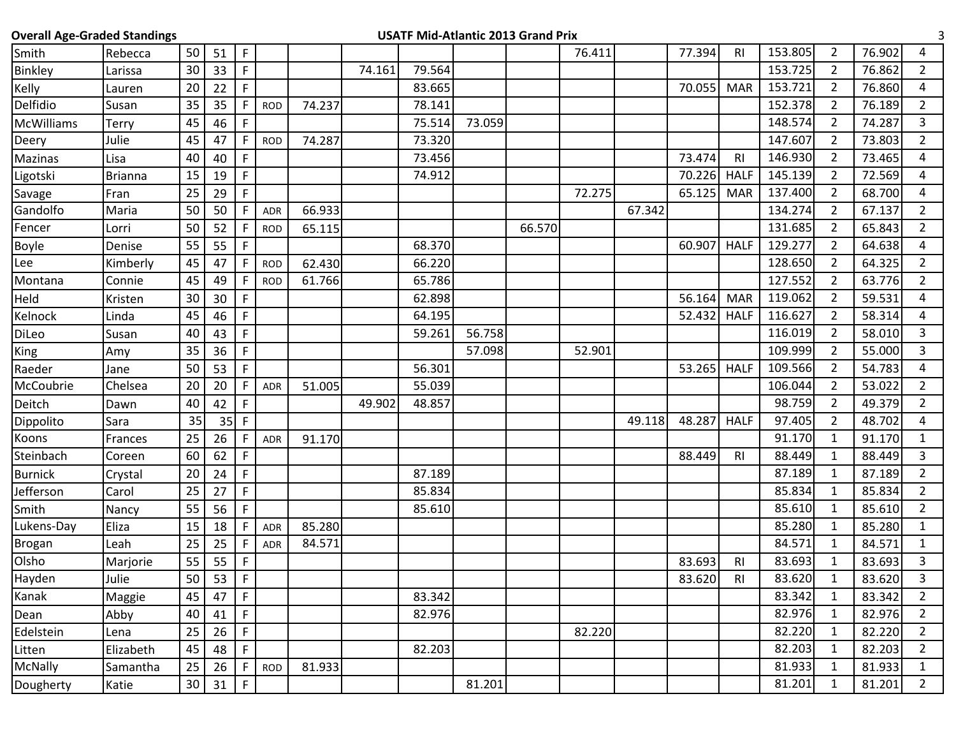| <b>Overall Age-Graded Standings</b> |           |    |    |              |            |        |        |        |        | <b>USATF Mid-Atlantic 2013 Grand Prix</b> |        |        |        |                |         |                |        | 3              |
|-------------------------------------|-----------|----|----|--------------|------------|--------|--------|--------|--------|-------------------------------------------|--------|--------|--------|----------------|---------|----------------|--------|----------------|
| Smith                               | Rebecca   | 50 | 51 | $\mathsf{F}$ |            |        |        |        |        |                                           | 76.411 |        | 77.394 | <b>RI</b>      | 153.805 | $\overline{2}$ | 76.902 | 4              |
| <b>Binkley</b>                      | Larissa   | 30 | 33 | $\mathsf{F}$ |            |        | 74.161 | 79.564 |        |                                           |        |        |        |                | 153.725 | $\overline{2}$ | 76.862 | $\overline{2}$ |
| Kelly                               | Lauren    | 20 | 22 | F            |            |        |        | 83.665 |        |                                           |        |        | 70.055 | <b>MAR</b>     | 153.721 | $\overline{2}$ | 76.860 | 4              |
| Delfidio                            | Susan     | 35 | 35 | F            | <b>ROD</b> | 74.237 |        | 78.141 |        |                                           |        |        |        |                | 152.378 | $\overline{2}$ | 76.189 | $\overline{2}$ |
| McWilliams                          | Terry     | 45 | 46 | F            |            |        |        | 75.514 | 73.059 |                                           |        |        |        |                | 148.574 | 2              | 74.287 | 3              |
| Deery                               | Julie     | 45 | 47 |              | <b>ROD</b> | 74.287 |        | 73.320 |        |                                           |        |        |        |                | 147.607 | 2              | 73.803 | $\overline{2}$ |
| Mazinas                             | Lisa      | 40 | 40 | F            |            |        |        | 73.456 |        |                                           |        |        | 73.474 | R <sub>l</sub> | 146.930 | 2              | 73.465 | 4              |
| Ligotski                            | Brianna   | 15 | 19 | F.           |            |        |        | 74.912 |        |                                           |        |        | 70.226 | <b>HALF</b>    | 145.139 | $\overline{2}$ | 72.569 | 4              |
| Savage                              | Fran      | 25 | 29 | F            |            |        |        |        |        |                                           | 72.275 |        | 65.125 | <b>MAR</b>     | 137.400 | $\overline{2}$ | 68.700 | 4              |
| Gandolfo                            | Maria     | 50 | 50 |              | <b>ADR</b> | 66.933 |        |        |        |                                           |        | 67.342 |        |                | 134.274 | $\overline{2}$ | 67.137 | $\overline{2}$ |
| Fencer                              | Lorri     | 50 | 52 | F            | <b>ROD</b> | 65.115 |        |        |        | 66.570                                    |        |        |        |                | 131.685 | $\overline{2}$ | 65.843 | $\overline{2}$ |
| <b>Boyle</b>                        | Denise    | 55 | 55 | F            |            |        |        | 68.370 |        |                                           |        |        | 60.907 | <b>HALF</b>    | 129.277 | 2              | 64.638 | 4              |
| Lee                                 | Kimberly  | 45 | 47 | F            | <b>ROD</b> | 62.430 |        | 66.220 |        |                                           |        |        |        |                | 128.650 | 2              | 64.325 | $\overline{2}$ |
| Montana                             | Connie    | 45 | 49 | F            | <b>ROD</b> | 61.766 |        | 65.786 |        |                                           |        |        |        |                | 127.552 | 2              | 63.776 | $\overline{2}$ |
| Held                                | Kristen   | 30 | 30 | F            |            |        |        | 62.898 |        |                                           |        |        | 56.164 | <b>MAR</b>     | 119.062 | $\overline{2}$ | 59.531 | 4              |
| Kelnock                             | Linda     | 45 | 46 | F            |            |        |        | 64.195 |        |                                           |        |        | 52.432 | <b>HALF</b>    | 116.627 | 2              | 58.314 | 4              |
| DiLeo                               | Susan     | 40 | 43 | F            |            |        |        | 59.261 | 56.758 |                                           |        |        |        |                | 116.019 | $\overline{2}$ | 58.010 | 3              |
| <b>King</b>                         | Amy       | 35 | 36 | F            |            |        |        |        | 57.098 |                                           | 52.901 |        |        |                | 109.999 | 2              | 55.000 | $\overline{3}$ |
| Raeder                              | Jane      | 50 | 53 | F            |            |        |        | 56.301 |        |                                           |        |        | 53.265 | <b>HALF</b>    | 109.566 | $\overline{2}$ | 54.783 | 4              |
| McCoubrie                           | Chelsea   | 20 | 20 |              | <b>ADR</b> | 51.005 |        | 55.039 |        |                                           |        |        |        |                | 106.044 | 2              | 53.022 | $\overline{2}$ |
| Deitch                              | Dawn      | 40 | 42 | F            |            |        | 49.902 | 48.857 |        |                                           |        |        |        |                | 98.759  | $\overline{2}$ | 49.379 | $\overline{2}$ |
| Dippolito                           | Sara      | 35 | 35 | F            |            |        |        |        |        |                                           |        | 49.118 | 48.287 | <b>HALF</b>    | 97.405  | $\overline{2}$ | 48.702 | 4              |
| Koons                               | Frances   | 25 | 26 |              | ADR        | 91.170 |        |        |        |                                           |        |        |        |                | 91.170  | 1              | 91.170 | $\mathbf{1}$   |
| Steinbach                           | Coreen    | 60 | 62 | F            |            |        |        |        |        |                                           |        |        | 88.449 | R <sub>l</sub> | 88.449  | 1              | 88.449 | 3              |
| <b>Burnick</b>                      | Crystal   | 20 | 24 | F            |            |        |        | 87.189 |        |                                           |        |        |        |                | 87.189  | 1              | 87.189 | $\overline{2}$ |
| Jefferson                           | Carol     | 25 | 27 | $\mathsf F$  |            |        |        | 85.834 |        |                                           |        |        |        |                | 85.834  | 1              | 85.834 | $\overline{2}$ |
| Smith                               | Nancy     | 55 | 56 | F.           |            |        |        | 85.610 |        |                                           |        |        |        |                | 85.610  | 1              | 85.610 | $\overline{2}$ |
| Lukens-Day                          | Eliza     | 15 | 18 | F            | <b>ADR</b> | 85.280 |        |        |        |                                           |        |        |        |                | 85.280  | 1              | 85.280 | $\mathbf{1}$   |
| <b>Brogan</b>                       | Leah      | 25 | 25 |              | <b>ADR</b> | 84.571 |        |        |        |                                           |        |        |        |                | 84.571  | 1              | 84.571 | $\mathbf{1}$   |
| Olsho                               | Marjorie  | 55 | 55 | $\mathsf F$  |            |        |        |        |        |                                           |        |        | 83.693 | R <sub>l</sub> | 83.693  | $\mathbf{1}$   | 83.693 | 3              |
| Hayden                              | Julie     | 50 | 53 | $\mathsf F$  |            |        |        |        |        |                                           |        |        | 83.620 | R1             | 83.620  | $\mathbf{1}$   | 83.620 | 3              |
| Kanak                               | Maggie    | 45 | 47 | F            |            |        |        | 83.342 |        |                                           |        |        |        |                | 83.342  | $\mathbf{1}$   | 83.342 | $2^{\circ}$    |
| Dean                                | Abby      | 40 | 41 | F            |            |        |        | 82.976 |        |                                           |        |        |        |                | 82.976  | $\mathbf{1}$   | 82.976 | $\overline{2}$ |
| Edelstein                           | Lena      | 25 | 26 | F.           |            |        |        |        |        |                                           | 82.220 |        |        |                | 82.220  | $\mathbf{1}$   | 82.220 | $\overline{2}$ |
| Litten                              | Elizabeth | 45 | 48 | F            |            |        |        | 82.203 |        |                                           |        |        |        |                | 82.203  | $\mathbf{1}$   | 82.203 | $2^{\circ}$    |
| McNally                             | Samantha  | 25 | 26 | $\mathsf F$  | <b>ROD</b> | 81.933 |        |        |        |                                           |        |        |        |                | 81.933  | $\mathbf{1}$   | 81.933 | $\mathbf{1}$   |
| Dougherty                           | Katie     | 30 | 31 | F            |            |        |        |        | 81.201 |                                           |        |        |        |                | 81.201  | 1              | 81.201 | $2^{\circ}$    |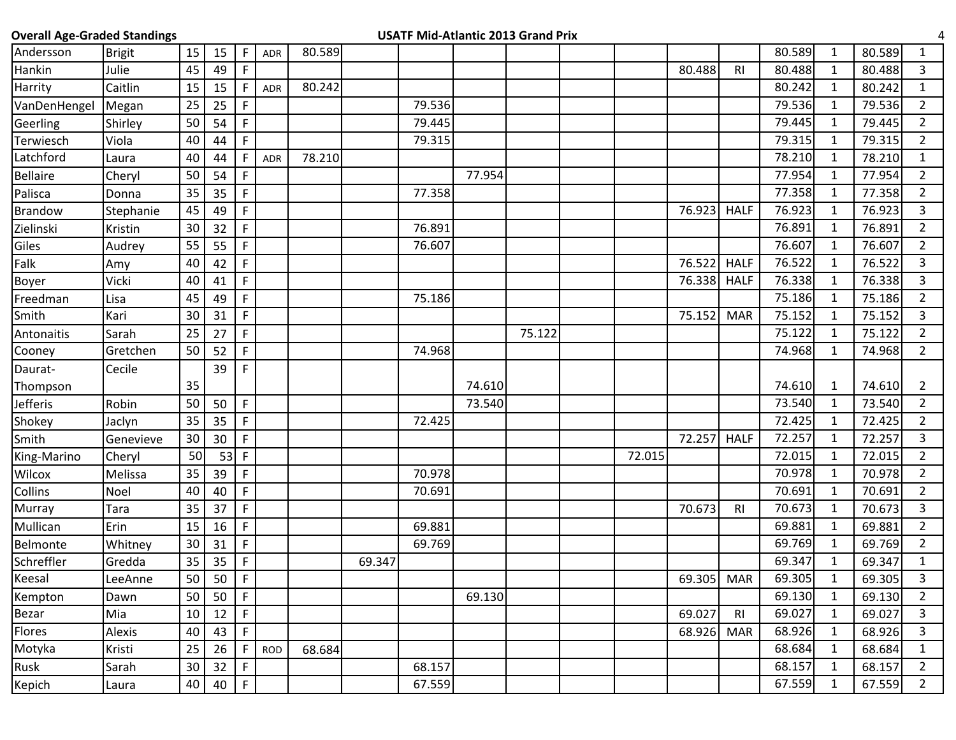| <b>Overall Age-Graded Standings</b> |           |        |    |             |            |        |        | <b>USATF Mid-Atlantic 2013 Grand Prix</b> |        |        |        |            |                |        |              |        |                |
|-------------------------------------|-----------|--------|----|-------------|------------|--------|--------|-------------------------------------------|--------|--------|--------|------------|----------------|--------|--------------|--------|----------------|
| Andersson                           | Brigit    | 15     | 15 | F           | ADR        | 80.589 |        |                                           |        |        |        |            |                | 80.589 | 1            | 80.589 | $\mathbf{1}$   |
| Hankin                              | Julie     | 45     | 49 | $\mathsf F$ |            |        |        |                                           |        |        |        | 80.488     | R <sub>l</sub> | 80.488 | $\mathbf{1}$ | 80.488 | $\overline{3}$ |
| Harrity                             | Caitlin   | 15     | 15 |             | <b>ADR</b> | 80.242 |        |                                           |        |        |        |            |                | 80.242 | $\mathbf{1}$ | 80.242 | $\mathbf{1}$   |
| VanDenHengel                        | Megan     | 25     | 25 | $\mathsf F$ |            |        |        | 79.536                                    |        |        |        |            |                | 79.536 | $\mathbf{1}$ | 79.536 | $\overline{2}$ |
| Geerling                            | Shirley   | 50     | 54 | F           |            |        |        | 79.445                                    |        |        |        |            |                | 79.445 | 1            | 79.445 | $\overline{2}$ |
| Terwiesch                           | Viola     | 40     | 44 | $\mathsf F$ |            |        |        | 79.315                                    |        |        |        |            |                | 79.315 | $\mathbf{1}$ | 79.315 | $\overline{2}$ |
| Latchford                           | Laura     | 40     | 44 |             | ADR        | 78.210 |        |                                           |        |        |        |            |                | 78.210 | $\mathbf{1}$ | 78.210 | $\mathbf{1}$   |
| <b>Bellaire</b>                     | Cheryl    | 50     | 54 | F           |            |        |        |                                           | 77.954 |        |        |            |                | 77.954 | 1            | 77.954 | $\overline{2}$ |
| Palisca                             | Donna     | 35     | 35 | F           |            |        |        | 77.358                                    |        |        |        |            |                | 77.358 | $\mathbf{1}$ | 77.358 | $\overline{2}$ |
| <b>Brandow</b>                      | Stephanie | 45     | 49 | $\mathsf F$ |            |        |        |                                           |        |        |        | 76.923     | <b>HALF</b>    | 76.923 | 1            | 76.923 | $\mathbf{3}$   |
| Zielinski                           | Kristin   | 30     | 32 | $\mathsf F$ |            |        |        | 76.891                                    |        |        |        |            |                | 76.891 | 1            | 76.891 | $\overline{2}$ |
| Giles                               | Audrey    | 55     | 55 | $\mathsf F$ |            |        |        | 76.607                                    |        |        |        |            |                | 76.607 | $\mathbf{1}$ | 76.607 | $\overline{2}$ |
| Falk                                | Amy       | 40     | 42 | $\mathsf F$ |            |        |        |                                           |        |        |        | 76.522     | <b>HALF</b>    | 76.522 | $\mathbf{1}$ | 76.522 | 3              |
| <b>Boyer</b>                        | Vicki     | 40     | 41 | $\mathsf F$ |            |        |        |                                           |        |        |        | 76.338     | <b>HALF</b>    | 76.338 | $\mathbf{1}$ | 76.338 | 3              |
| Freedman                            | Lisa      | 45     | 49 | $\mathsf F$ |            |        |        | 75.186                                    |        |        |        |            |                | 75.186 | $\mathbf{1}$ | 75.186 | $\overline{2}$ |
| Smith                               | Kari      | 30     | 31 | F           |            |        |        |                                           |        |        |        | 75.152     | <b>MAR</b>     | 75.152 | $\mathbf{1}$ | 75.152 | 3              |
| Antonaitis                          | Sarah     | 25     | 27 | $\mathsf F$ |            |        |        |                                           |        | 75.122 |        |            |                | 75.122 | $\mathbf{1}$ | 75.122 | $\overline{2}$ |
| Cooney                              | Gretchen  | 50     | 52 | F           |            |        |        | 74.968                                    |        |        |        |            |                | 74.968 | $\mathbf{1}$ | 74.968 | $2^{\circ}$    |
| Daurat-                             | Cecile    |        | 39 | F           |            |        |        |                                           |        |        |        |            |                |        |              |        |                |
| Thompson                            |           | 35     |    |             |            |        |        |                                           | 74.610 |        |        |            |                | 74.610 | 1            | 74.610 | 2              |
| Jefferis                            | Robin     | 50     | 50 | F           |            |        |        |                                           | 73.540 |        |        |            |                | 73.540 | $\mathbf{1}$ | 73.540 | $\overline{2}$ |
| Shokey                              | Jaclyn    | 35     | 35 | F           |            |        |        | 72.425                                    |        |        |        |            |                | 72.425 | 1            | 72.425 | $\overline{2}$ |
| Smith                               | Genevieve | 30     | 30 | $\mathsf F$ |            |        |        |                                           |        |        |        | 72.257     | <b>HALF</b>    | 72.257 | $\mathbf{1}$ | 72.257 | $\overline{3}$ |
| King-Marino                         | Cheryl    | 50     | 53 | $\mathsf F$ |            |        |        |                                           |        |        | 72.015 |            |                | 72.015 | $\mathbf{1}$ | 72.015 | $2^{\circ}$    |
| Wilcox                              | Melissa   | 35     | 39 | $\mathsf F$ |            |        |        | 70.978                                    |        |        |        |            |                | 70.978 | $\mathbf{1}$ | 70.978 | $\overline{2}$ |
| Collins                             | Noel      | 40     | 40 | $\mathsf F$ |            |        |        | 70.691                                    |        |        |        |            |                | 70.691 | $\mathbf{1}$ | 70.691 | $\overline{2}$ |
| Murray                              | Tara      | 35     | 37 | F           |            |        |        |                                           |        |        |        | 70.673     | <b>RI</b>      | 70.673 | $\mathbf{1}$ | 70.673 | $\mathbf{3}$   |
| Mullican                            | Erin      | 15     | 16 | $\mathsf F$ |            |        |        | 69.881                                    |        |        |        |            |                | 69.881 | $\mathbf{1}$ | 69.881 | $\overline{2}$ |
| Belmonte                            | Whitney   | 30     | 31 | F           |            |        |        | 69.769                                    |        |        |        |            |                | 69.769 | $\mathbf{1}$ | 69.769 | $\overline{2}$ |
| Schreffler                          | Gredda    | 35     | 35 | F           |            |        | 69.347 |                                           |        |        |        |            |                | 69.347 | $\mathbf{1}$ | 69.347 | $\mathbf{1}$   |
| Keesal                              | LeeAnne   | 50     | 50 | $\mathsf F$ |            |        |        |                                           |        |        |        | 69.305 MAR |                | 69.305 | $\mathbf{1}$ | 69.305 | 3              |
| Kempton                             | Dawn      | 50     | 50 | $\mathsf F$ |            |        |        |                                           | 69.130 |        |        |            |                | 69.130 | $\mathbf{1}$ | 69.130 | $\overline{2}$ |
| Bezar                               | Mia       | 10     | 12 | $\mathsf F$ |            |        |        |                                           |        |        |        | 69.027     | R <sub>l</sub> | 69.027 | $\mathbf{1}$ | 69.027 | 3              |
| Flores                              | Alexis    | 40     | 43 | F.          |            |        |        |                                           |        |        |        | 68.926     | <b>MAR</b>     | 68.926 | $\mathbf{1}$ | 68.926 | 3              |
| Motyka                              | Kristi    | 25     | 26 | F           | <b>ROD</b> | 68.684 |        |                                           |        |        |        |            |                | 68.684 | $\mathbf{1}$ | 68.684 | $\mathbf{1}$   |
| Rusk                                | Sarah     | $30\,$ | 32 | $\mathsf F$ |            |        |        | 68.157                                    |        |        |        |            |                | 68.157 | $\mathbf{1}$ | 68.157 | $\overline{2}$ |
| Kepich                              | Laura     | 40     | 40 | $\mathsf F$ |            |        |        | 67.559                                    |        |        |        |            |                | 67.559 | $\mathbf{1}$ | 67.559 | $2^{\circ}$    |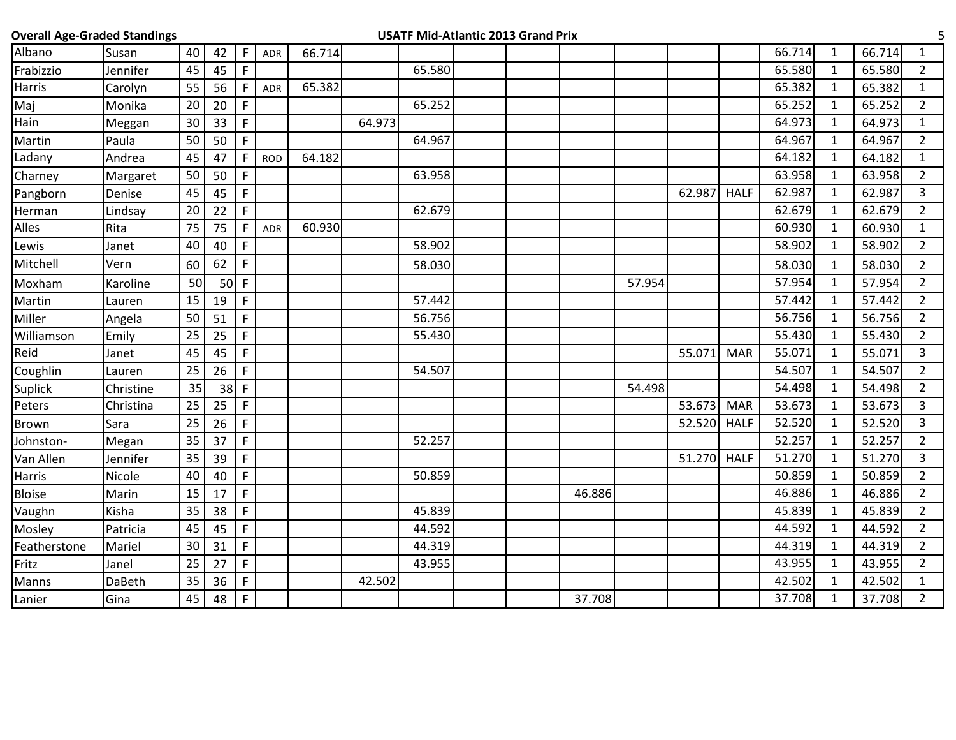| <b>Overall Age-Graded Standings</b> |           |    |        |              |            |        |        |        | <b>USATF Mid-Atlantic 2013 Grand Prix</b> |        |        |        |             |        |              |        | 5              |
|-------------------------------------|-----------|----|--------|--------------|------------|--------|--------|--------|-------------------------------------------|--------|--------|--------|-------------|--------|--------------|--------|----------------|
| Albano                              | Susan     | 40 | 42     | F            | <b>ADR</b> | 66.714 |        |        |                                           |        |        |        |             | 66.714 | $\mathbf{1}$ | 66.714 | $\mathbf{1}$   |
| Frabizzio                           | Jennifer  | 45 | 45     | $\mathsf F$  |            |        |        | 65.580 |                                           |        |        |        |             | 65.580 | $\mathbf{1}$ | 65.580 | $\overline{2}$ |
| Harris                              | Carolyn   | 55 | 56     | F            | <b>ADR</b> | 65.382 |        |        |                                           |        |        |        |             | 65.382 | $\mathbf{1}$ | 65.382 | $\mathbf{1}$   |
| Maj                                 | Monika    | 20 | 20     | $\mathsf{F}$ |            |        |        | 65.252 |                                           |        |        |        |             | 65.252 | $\mathbf{1}$ | 65.252 | $\overline{2}$ |
| Hain                                | Meggan    | 30 | 33     | $\mathsf F$  |            |        | 64.973 |        |                                           |        |        |        |             | 64.973 | $\mathbf{1}$ | 64.973 | $\mathbf{1}$   |
| Martin                              | Paula     | 50 | 50     | $\mathsf F$  |            |        |        | 64.967 |                                           |        |        |        |             | 64.967 | 1            | 64.967 | $\overline{2}$ |
| Ladany                              | Andrea    | 45 | 47     | F            | <b>ROD</b> | 64.182 |        |        |                                           |        |        |        |             | 64.182 | $\mathbf{1}$ | 64.182 | $\mathbf{1}$   |
| Charney                             | Margaret  | 50 | 50     | $\mathsf F$  |            |        |        | 63.958 |                                           |        |        |        |             | 63.958 | $\mathbf{1}$ | 63.958 | $\overline{2}$ |
| Pangborn                            | Denise    | 45 | 45     | $\mathsf F$  |            |        |        |        |                                           |        |        | 62.987 | <b>HALF</b> | 62.987 | $\mathbf{1}$ | 62.987 | $\overline{3}$ |
| Herman                              | Lindsay   | 20 | 22     | F            |            |        |        | 62.679 |                                           |        |        |        |             | 62.679 | $\mathbf{1}$ | 62.679 | $\overline{2}$ |
| Alles                               | Rita      | 75 | 75     | $\mathsf F$  | ADR        | 60.930 |        |        |                                           |        |        |        |             | 60.930 | $\mathbf{1}$ | 60.930 | $\mathbf{1}$   |
| Lewis                               | Janet     | 40 | 40     | $\mathsf F$  |            |        |        | 58.902 |                                           |        |        |        |             | 58.902 | $\mathbf{1}$ | 58.902 | $\overline{2}$ |
| Mitchell                            | Vern      | 60 | 62     | F            |            |        |        | 58.030 |                                           |        |        |        |             | 58.030 | 1            | 58.030 | $\overline{2}$ |
| Moxham                              | Karoline  | 50 | $50$ F |              |            |        |        |        |                                           |        | 57.954 |        |             | 57.954 | $\mathbf{1}$ | 57.954 | $\overline{2}$ |
| Martin                              | Lauren    | 15 | 19     | $\mathsf F$  |            |        |        | 57.442 |                                           |        |        |        |             | 57.442 | $\mathbf{1}$ | 57.442 | $\overline{2}$ |
| Miller                              | Angela    | 50 | 51     | $\mathsf F$  |            |        |        | 56.756 |                                           |        |        |        |             | 56.756 | $\mathbf{1}$ | 56.756 | $\overline{2}$ |
| Williamson                          | Emily     | 25 | 25     | $\mathsf F$  |            |        |        | 55.430 |                                           |        |        |        |             | 55.430 | $\mathbf{1}$ | 55.430 | $\overline{2}$ |
| Reid                                | Janet     | 45 | 45     | F            |            |        |        |        |                                           |        |        | 55.071 | <b>MAR</b>  | 55.071 | $\mathbf{1}$ | 55.071 | 3              |
| Coughlin                            | Lauren    | 25 | 26     | $\mathsf F$  |            |        |        | 54.507 |                                           |        |        |        |             | 54.507 | $\mathbf{1}$ | 54.507 | $\overline{2}$ |
| <b>Suplick</b>                      | Christine | 35 | $38$ F |              |            |        |        |        |                                           |        | 54.498 |        |             | 54.498 | 1            | 54.498 | $\overline{2}$ |
| Peters                              | Christina | 25 | 25     | F            |            |        |        |        |                                           |        |        | 53.673 | <b>MAR</b>  | 53.673 | $\mathbf{1}$ | 53.673 | $\overline{3}$ |
| Brown                               | Sara      | 25 | 26     | F            |            |        |        |        |                                           |        |        | 52.520 | <b>HALF</b> | 52.520 | $\mathbf{1}$ | 52.520 | 3              |
| Johnston-                           | Megan     | 35 | 37     | F            |            |        |        | 52.257 |                                           |        |        |        |             | 52.257 | $\mathbf{1}$ | 52.257 | $\overline{2}$ |
| Van Allen                           | Jennifer  | 35 | 39     | $\mathsf F$  |            |        |        |        |                                           |        |        | 51.270 | <b>HALF</b> | 51.270 | $\mathbf{1}$ | 51.270 | $\overline{3}$ |
| Harris                              | Nicole    | 40 | 40     | $\mathsf F$  |            |        |        | 50.859 |                                           |        |        |        |             | 50.859 | $\mathbf{1}$ | 50.859 | $\overline{2}$ |
| <b>Bloise</b>                       | Marin     | 15 | 17     | $\mathsf F$  |            |        |        |        |                                           | 46.886 |        |        |             | 46.886 | 1            | 46.886 | $\overline{2}$ |
| Vaughn                              | Kisha     | 35 | 38     | F            |            |        |        | 45.839 |                                           |        |        |        |             | 45.839 | $\mathbf{1}$ | 45.839 | $\overline{2}$ |
| Mosley                              | Patricia  | 45 | 45     | F            |            |        |        | 44.592 |                                           |        |        |        |             | 44.592 | $\mathbf{1}$ | 44.592 | $\overline{2}$ |
| Featherstone                        | Mariel    | 30 | 31     | $\mathsf F$  |            |        |        | 44.319 |                                           |        |        |        |             | 44.319 | $\mathbf{1}$ | 44.319 | $\overline{2}$ |
| Fritz                               | Janel     | 25 | 27     | F            |            |        |        | 43.955 |                                           |        |        |        |             | 43.955 | 1            | 43.955 | $\overline{2}$ |
| Manns                               | DaBeth    | 35 | 36     | $\mathsf F$  |            |        | 42.502 |        |                                           |        |        |        |             | 42.502 | $\mathbf{1}$ | 42.502 | $\mathbf{1}$   |
| Lanier                              | Gina      | 45 | 48     | $\mathsf{F}$ |            |        |        |        |                                           | 37.708 |        |        |             | 37.708 | $\mathbf{1}$ | 37.708 | $\overline{2}$ |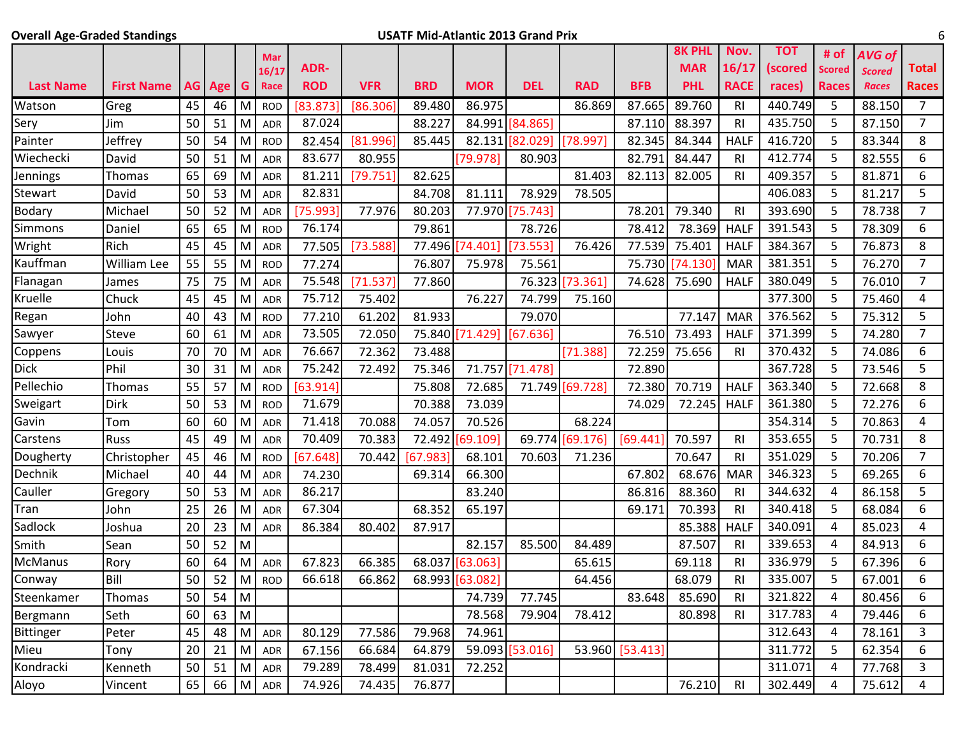## **Overall Age-Graded Standings USATF Mid-Atlantic 2013 Grand Prix** 6

|                  |                    |    |          |                         | Mar        |            |            |            |                 |                 |                 |                 | <b>8K PHL</b> | Nov.           | <b>TOT</b> | # of          | <b>AVG of</b> |                |
|------------------|--------------------|----|----------|-------------------------|------------|------------|------------|------------|-----------------|-----------------|-----------------|-----------------|---------------|----------------|------------|---------------|---------------|----------------|
|                  |                    |    |          |                         | 16/17      | ADR-       |            |            |                 |                 |                 |                 | <b>MAR</b>    | 16/17          | (scored    | <b>Scored</b> | <b>Scored</b> | <b>Total</b>   |
| <b>Last Name</b> | <b>First Name</b>  |    | AG Age G |                         | Race       | <b>ROD</b> | <b>VFR</b> | <b>BRD</b> | <b>MOR</b>      | <b>DEL</b>      | <b>RAD</b>      | <b>BFB</b>      | <b>PHL</b>    | <b>RACE</b>    | races)     | <b>Races</b>  | <b>Races</b>  | <b>Races</b>   |
| Watson           | Greg               | 45 | 46       | M                       | <b>ROD</b> | [83.873    | [86.306]   | 89.480     | 86.975          |                 | 86.869          | 87.665          | 89.760        | RI             | 440.749    | 5             | 88.150        | $\overline{7}$ |
| Sery             | Jim                | 50 | 51       | M                       | <b>ADR</b> | 87.024     |            | 88.227     | 84.991          | [84.865]        |                 | 87.110          | 88.397        | R <sub>l</sub> | 435.750    | 5             | 87.150        | $\overline{7}$ |
| Painter          | Jeffrey            | 50 | 54       | M                       | <b>ROD</b> | 82.454     | [81.996]   | 85.445     | 82.131          | [82.029]        | [78.997]        | 82.345          | 84.344        | <b>HALF</b>    | 416.720    | 5             | 83.344        | 8              |
| Wiechecki        | David              | 50 | 51       | M                       | <b>ADR</b> | 83.677     | 80.955     |            | [79.978]        | 80.903          |                 | 82.791          | 84.447        | R <sub>l</sub> | 412.774    | 5             | 82.555        | 6              |
| Jennings         | Thomas             | 65 | 69       | M                       | <b>ADR</b> | 81.211     | [79.751]   | 82.625     |                 |                 | 81.403          | 82.113          | 82.005        | <b>RI</b>      | 409.357    | 5             | 81.871        | 6              |
| Stewart          | David              | 50 | 53       | M                       | <b>ADR</b> | 82.831     |            | 84.708     | 81.111          | 78.929          | 78.505          |                 |               |                | 406.083    | 5             | 81.217        | 5              |
| Bodary           | Michael            | 50 | 52       | M                       | <b>ADR</b> | [75.993]   | 77.976     | 80.203     |                 | 77.970 [75.743] |                 | 78.201          | 79.340        | R <sub>l</sub> | 393.690    | 5             | 78.738        | $\overline{7}$ |
| Simmons          | Daniel             | 65 | 65       | M                       | <b>ROD</b> | 76.174     |            | 79.861     |                 | 78.726          |                 | 78.412          | 78.369        | <b>HALF</b>    | 391.543    | 5             | 78.309        | 6              |
| Wright           | Rich               | 45 | 45       | M                       | <b>ADR</b> | 77.505     | [73.588]   | 77.496     | [74.401]        | [73.553]        | 76.426          | 77.539          | 75.401        | <b>HALF</b>    | 384.367    | 5             | 76.873        | 8              |
| Kauffman         | <b>William Lee</b> | 55 | 55       | M                       | <b>ROD</b> | 77.274     |            | 76.807     | 75.978          | 75.561          |                 | 75.730          | 74.130        | <b>MAR</b>     | 381.351    | 5             | 76.270        | $\overline{7}$ |
| Flanagan         | James              | 75 | 75       | M                       | <b>ADR</b> | 75.548     | [71.537]   | 77.860     |                 | 76.323          | [73.361]        | 74.628          | 75.690        | <b>HALF</b>    | 380.049    | 5             | 76.010        | $\overline{7}$ |
| Kruelle          | Chuck              | 45 | 45       | M                       | <b>ADR</b> | 75.712     | 75.402     |            | 76.227          | 74.799          | 75.160          |                 |               |                | 377.300    | 5             | 75.460        | 4              |
| Regan            | John               | 40 | 43       | M                       | <b>ROD</b> | 77.210     | 61.202     | 81.933     |                 | 79.070          |                 |                 | 77.147        | <b>MAR</b>     | 376.562    | 5             | 75.312        | 5              |
| Sawyer           | <b>Steve</b>       | 60 | 61       | M                       | <b>ADR</b> | 73.505     | 72.050     | 75.840     | [71.429]        | [67.636]        |                 | 76.510          | 73.493        | <b>HALF</b>    | 371.399    | 5             | 74.280        | $\overline{7}$ |
| Coppens          | Louis              | 70 | 70       | M                       | <b>ADR</b> | 76.667     | 72.362     | 73.488     |                 |                 | [71.388]        | 72.259          | 75.656        | R <sub>l</sub> | 370.432    | 5             | 74.086        | 6              |
| <b>Dick</b>      | Phil               | 30 | 31       | M                       | <b>ADR</b> | 75.242     | 72.492     | 75.346     |                 | 71.757 [71.478] |                 | 72.890          |               |                | 367.728    | 5             | 73.546        | 5              |
| Pellechio        | Thomas             | 55 | 57       | M                       | <b>ROD</b> | [63.914]   |            | 75.808     | 72.685          |                 | 71.749 [69.728] | 72.380          | 70.719        | <b>HALF</b>    | 363.340    | 5             | 72.668        | 8              |
| Sweigart         | <b>Dirk</b>        | 50 | 53       | M                       | <b>ROD</b> | 71.679     |            | 70.388     | 73.039          |                 |                 | 74.029          | 72.245        | <b>HALF</b>    | 361.380    | 5             | 72.276        | 6              |
| Gavin            | Tom                | 60 | 60       | M                       | <b>ADR</b> | 71.418     | 70.088     | 74.057     | 70.526          |                 | 68.224          |                 |               |                | 354.314    | 5             | 70.863        | 4              |
| Carstens         | <b>Russ</b>        | 45 | 49       | M                       | <b>ADR</b> | 70.409     | 70.383     | 72.492     | [69.109]        |                 | 69.774 [69.176] | [69.441]        | 70.597        | <b>RI</b>      | 353.655    | 5             | 70.731        | 8              |
| Dougherty        | Christopher        | 45 | 46       | M                       | <b>ROD</b> | [67.648]   | 70.442     | [67.983]   | 68.101          | 70.603          | 71.236          |                 | 70.647        | R <sub>l</sub> | 351.029    | 5             | 70.206        | $\overline{7}$ |
| Dechnik          | Michael            | 40 | 44       | M                       | <b>ADR</b> | 74.230     |            | 69.314     | 66.300          |                 |                 | 67.802          | 68.676        | <b>MAR</b>     | 346.323    | 5             | 69.265        | 6              |
| Cauller          | Gregory            | 50 | 53       | M                       | <b>ADR</b> | 86.217     |            |            | 83.240          |                 |                 | 86.816          | 88.360        | R <sub>l</sub> | 344.632    | 4             | 86.158        | 5              |
| Tran             | John               | 25 | 26       | M                       | <b>ADR</b> | 67.304     |            | 68.352     | 65.197          |                 |                 | 69.171          | 70.393        | R <sub>l</sub> | 340.418    | 5             | 68.084        | 6              |
| Sadlock          | Joshua             | 20 | 23       | M                       | <b>ADR</b> | 86.384     | 80.402     | 87.917     |                 |                 |                 |                 | 85.388        | <b>HALF</b>    | 340.091    | 4             | 85.023        | 4              |
| Smith            | Sean               | 50 | 52       | M                       |            |            |            |            | 82.157          | 85.500          | 84.489          |                 | 87.507        | R <sub>l</sub> | 339.653    | 4             | 84.913        | 6              |
| <b>McManus</b>   | Rory               | 60 | 64       | M                       | <b>ADR</b> | 67.823     | 66.385     |            | 68.037 [63.063] |                 | 65.615          |                 | 69.118        | R <sub>l</sub> | 336.979    | 5             | 67.396        | 6              |
| Conway           | Bill               | 50 | 52       | M                       | <b>ROD</b> | 66.618     | 66.862     |            | 68.993 [63.082] |                 | 64.456          |                 | 68.079        | R <sub>l</sub> | 335.007    | 5             | 67.001        | 6              |
| Steenkamer       | Thomas             | 50 | 54       | M                       |            |            |            |            | 74.739          | 77.745          |                 | 83.648          | 85.690        | R <sub>l</sub> | 321.822    | 4             | 80.456        | 6              |
| Bergmann         | Seth               | 60 | 63       | M                       |            |            |            |            | 78.568          | 79.904          | 78.412          |                 | 80.898        | R <sub>l</sub> | 317.783    | 4             | 79.446        | 6              |
| Bittinger        | Peter              | 45 | 48       | $\overline{\mathsf{M}}$ | <b>ADR</b> | 80.129     | 77.586     | 79.968     | 74.961          |                 |                 |                 |               |                | 312.643    | 4             | 78.161        | 3              |
| Mieu             | Tony               | 20 | 21       | M                       | <b>ADR</b> | 67.156     | 66.684     | 64.879     |                 | 59.093 [53.016] |                 | 53.960 [53.413] |               |                | 311.772    | 5             | 62.354        | 6              |
| Kondracki        | Kenneth            | 50 | 51       | M                       | ADR        | 79.289     | 78.499     | 81.031     | 72.252          |                 |                 |                 |               |                | 311.071    | 4             | 77.768        | 3              |
| Aloyo            | Vincent            | 65 |          | 66   M                  | ADR        | 74.926     | 74.435     | 76.877     |                 |                 |                 |                 | 76.210        | R <sub>l</sub> | 302.449    | 4             | 75.612        | 4              |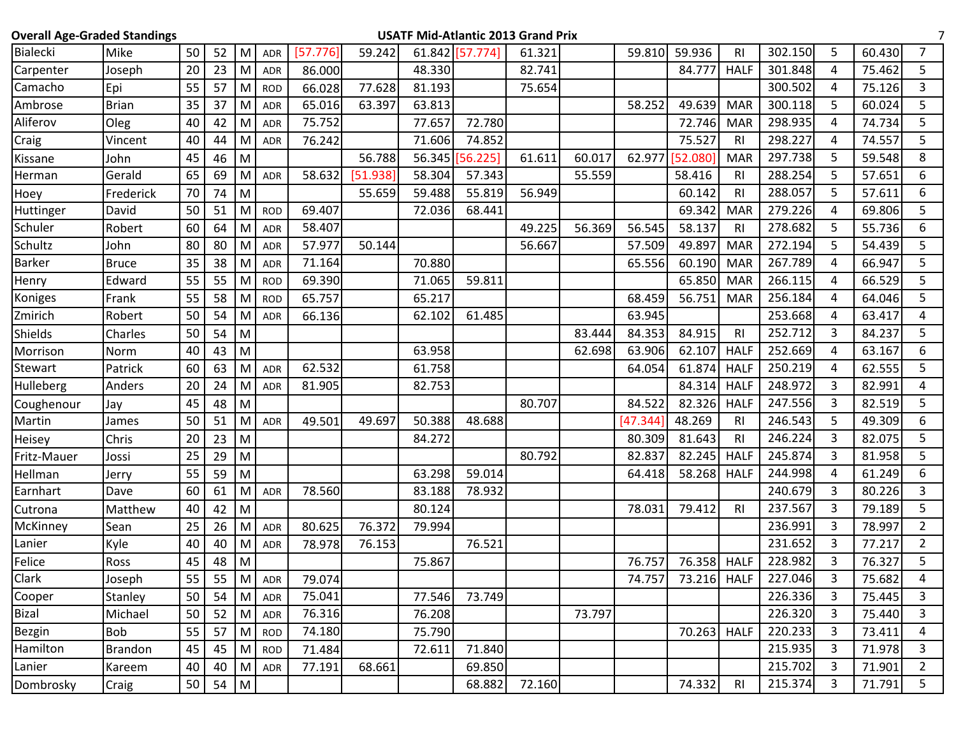| <b>Overall Age-Graded Standings</b> |                |    |    |                |            |          |          |        |                 | <b>USATF Mid-Atlantic 2013 Grand Prix</b> |        |          |          |                |         |   |        |                |
|-------------------------------------|----------------|----|----|----------------|------------|----------|----------|--------|-----------------|-------------------------------------------|--------|----------|----------|----------------|---------|---|--------|----------------|
| <b>Bialecki</b>                     | Mike           | 50 | 52 | M <sub>l</sub> | <b>ADR</b> | [57.776] | 59.242   |        | 61.842 [57.774] | 61.321                                    |        | 59.810   | 59.936   | RI             | 302.150 | 5 | 60.430 | $\overline{7}$ |
| Carpenter                           | Joseph         | 20 | 23 | M              | <b>ADR</b> | 86.000   |          | 48.330 |                 | 82.741                                    |        |          | 84.777   | <b>HALF</b>    | 301.848 | 4 | 75.462 | 5              |
| Camacho                             | Epi            | 55 | 57 | M              | <b>ROD</b> | 66.028   | 77.628   | 81.193 |                 | 75.654                                    |        |          |          |                | 300.502 | 4 | 75.126 | 3              |
| Ambrose                             | <b>Brian</b>   | 35 | 37 | M              | <b>ADR</b> | 65.016   | 63.397   | 63.813 |                 |                                           |        | 58.252   | 49.639   | <b>MAR</b>     | 300.118 | 5 | 60.024 | 5              |
| Aliferov                            | Oleg           | 40 | 42 | M              | <b>ADR</b> | 75.752   |          | 77.657 | 72.780          |                                           |        |          | 72.746   | <b>MAR</b>     | 298.935 | 4 | 74.734 | 5              |
| Craig                               | Vincent        | 40 | 44 | M              | <b>ADR</b> | 76.242   |          | 71.606 | 74.852          |                                           |        |          | 75.527   | RI.            | 298.227 | 4 | 74.557 | 5              |
| Kissane                             | John           | 45 | 46 | M              |            |          | 56.788   |        | 56.345 [56.225] | 61.611                                    | 60.017 | 62.977   | [52.080] | <b>MAR</b>     | 297.738 | 5 | 59.548 | 8              |
| Herman                              | Gerald         | 65 | 69 | M              | <b>ADR</b> | 58.632   | [51.938] | 58.304 | 57.343          |                                           | 55.559 |          | 58.416   | <b>RI</b>      | 288.254 | 5 | 57.651 | 6              |
| Hoey                                | Frederick      | 70 | 74 | M              |            |          | 55.659   | 59.488 | 55.819          | 56.949                                    |        |          | 60.142   | RI             | 288.057 | 5 | 57.611 | 6              |
| Huttinger                           | David          | 50 | 51 | M              | <b>ROD</b> | 69.407   |          | 72.036 | 68.441          |                                           |        |          | 69.342   | <b>MAR</b>     | 279.226 | 4 | 69.806 | 5              |
| Schuler                             | Robert         | 60 | 64 | M              | <b>ADR</b> | 58.407   |          |        |                 | 49.225                                    | 56.369 | 56.545   | 58.137   | <b>RI</b>      | 278.682 | 5 | 55.736 | 6              |
| Schultz                             | John           | 80 | 80 | M              | <b>ADR</b> | 57.977   | 50.144   |        |                 | 56.667                                    |        | 57.509   | 49.897   | <b>MAR</b>     | 272.194 | 5 | 54.439 | 5              |
| <b>Barker</b>                       | <b>Bruce</b>   | 35 | 38 | M              | <b>ADR</b> | 71.164   |          | 70.880 |                 |                                           |        | 65.556   | 60.190   | <b>MAR</b>     | 267.789 | 4 | 66.947 | 5              |
| Henry                               | Edward         | 55 | 55 | M              | <b>ROD</b> | 69.390   |          | 71.065 | 59.811          |                                           |        |          | 65.850   | <b>MAR</b>     | 266.115 | 4 | 66.529 | 5              |
| Koniges                             | Frank          | 55 | 58 | M              | <b>ROD</b> | 65.757   |          | 65.217 |                 |                                           |        | 68.459   | 56.751   | <b>MAR</b>     | 256.184 | 4 | 64.046 | 5              |
| Zmirich                             | Robert         | 50 | 54 | M              | <b>ADR</b> | 66.136   |          | 62.102 | 61.485          |                                           |        | 63.945   |          |                | 253.668 | 4 | 63.417 | 4              |
| Shields                             | Charles        | 50 | 54 | M              |            |          |          |        |                 |                                           | 83.444 | 84.353   | 84.915   | R <sub>l</sub> | 252.712 | 3 | 84.237 | 5              |
| Morrison                            | Norm           | 40 | 43 | M              |            |          |          | 63.958 |                 |                                           | 62.698 | 63.906   | 62.107   | <b>HALF</b>    | 252.669 | 4 | 63.167 | 6              |
| Stewart                             | Patrick        | 60 | 63 | M              | <b>ADR</b> | 62.532   |          | 61.758 |                 |                                           |        | 64.054   | 61.874   | <b>HALF</b>    | 250.219 | 4 | 62.555 | 5              |
| Hulleberg                           | Anders         | 20 | 24 | M              | <b>ADR</b> | 81.905   |          | 82.753 |                 |                                           |        |          | 84.314   | <b>HALF</b>    | 248.972 | 3 | 82.991 | 4              |
| Coughenour                          | Jay            | 45 | 48 | M              |            |          |          |        |                 | 80.707                                    |        | 84.522   | 82.326   | <b>HALF</b>    | 247.556 | 3 | 82.519 | 5              |
| Martin                              | James          | 50 | 51 | M              | <b>ADR</b> | 49.501   | 49.697   | 50.388 | 48.688          |                                           |        | [47.344] | 48.269   | RI             | 246.543 | 5 | 49.309 | 6              |
| Heisey                              | Chris          | 20 | 23 | M              |            |          |          | 84.272 |                 |                                           |        | 80.309   | 81.643   | <b>RI</b>      | 246.224 | 3 | 82.075 | 5              |
| Fritz-Mauer                         | Jossi          | 25 | 29 | M              |            |          |          |        |                 | 80.792                                    |        | 82.837   | 82.245   | <b>HALF</b>    | 245.874 | 3 | 81.958 | 5              |
| Hellman                             | Jerry          | 55 | 59 | M              |            |          |          | 63.298 | 59.014          |                                           |        | 64.418   | 58.268   | <b>HALF</b>    | 244.998 | 4 | 61.249 | 6              |
| Earnhart                            | Dave           | 60 | 61 | M              | <b>ADR</b> | 78.560   |          | 83.188 | 78.932          |                                           |        |          |          |                | 240.679 | 3 | 80.226 | 3              |
| Cutrona                             | Matthew        | 40 | 42 | M              |            |          |          | 80.124 |                 |                                           |        | 78.031   | 79.412   | R <sub>l</sub> | 237.567 | 3 | 79.189 | 5              |
| McKinney                            | Sean           | 25 | 26 | M              | <b>ADR</b> | 80.625   | 76.372   | 79.994 |                 |                                           |        |          |          |                | 236.991 | 3 | 78.997 | $\overline{2}$ |
| Lanier                              | Kyle           | 40 | 40 | M              | <b>ADR</b> | 78.978   | 76.153   |        | 76.521          |                                           |        |          |          |                | 231.652 | 3 | 77.217 | $\overline{2}$ |
| Felice                              | Ross           | 45 | 48 | M              |            |          |          | 75.867 |                 |                                           |        | 76.757   | 76.358   | <b>HALF</b>    | 228.982 | 3 | 76.327 | 5              |
| Clark                               | Joseph         | 55 | 55 | M              | ADR        | 79.074   |          |        |                 |                                           |        | 74.757   | 73.216   | <b>HALF</b>    | 227.046 | 3 | 75.682 | 4              |
| Cooper                              | Stanley        | 50 | 54 | M <sub>l</sub> | ADR        | 75.041   |          | 77.546 | 73.749          |                                           |        |          |          |                | 226.336 | 3 | 75.445 | $\mathbf{3}$   |
| <b>Bizal</b>                        | Michael        | 50 | 52 | M              | <b>ADR</b> | 76.316   |          | 76.208 |                 |                                           | 73.797 |          |          |                | 226.320 | 3 | 75.440 | 3              |
| <b>Bezgin</b>                       | <b>Bob</b>     | 55 | 57 | M <sub>l</sub> | <b>ROD</b> | 74.180   |          | 75.790 |                 |                                           |        |          | 70.263   | <b>HALF</b>    | 220.233 | 3 | 73.411 | 4              |
| Hamilton                            | <b>Brandon</b> | 45 | 45 | M <sub>l</sub> | <b>ROD</b> | 71.484   |          | 72.611 | 71.840          |                                           |        |          |          |                | 215.935 | 3 | 71.978 | 3              |
| Lanier                              | Kareem         | 40 | 40 | M              | ADR        | 77.191   | 68.661   |        | 69.850          |                                           |        |          |          |                | 215.702 | 3 | 71.901 | $2^{\circ}$    |
| Dombrosky                           | Craig          | 50 | 54 | M              |            |          |          |        | 68.882          | 72.160                                    |        |          | 74.332   | R <sub>l</sub> | 215.374 | 3 | 71.791 | 5              |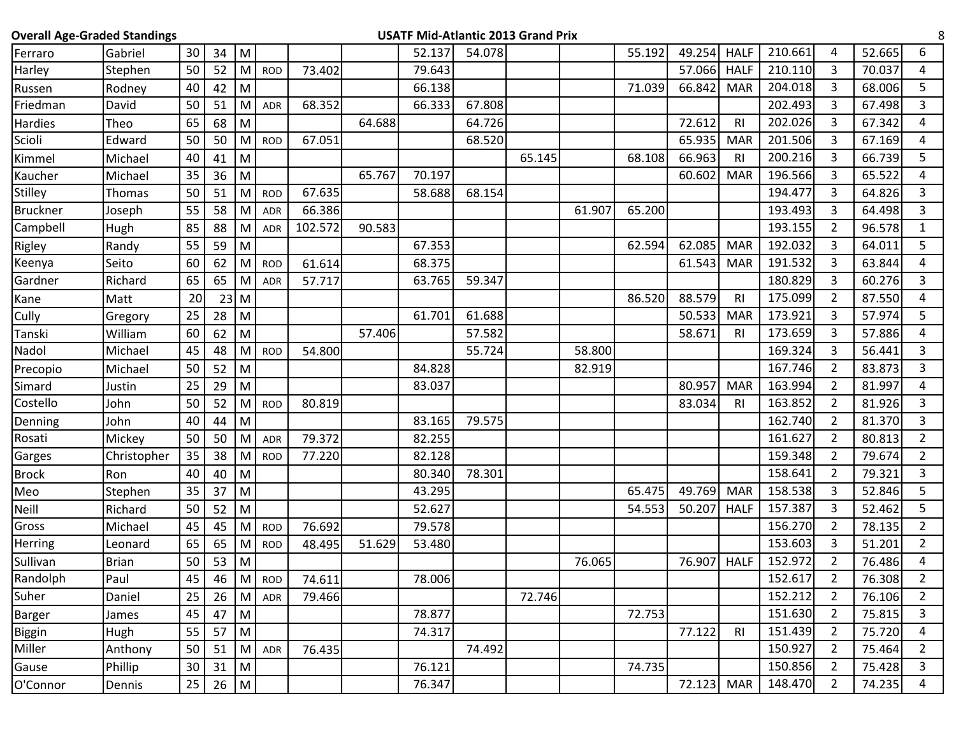| <b>Overall Age-Graded Standings</b> |              |    |        |           |            |         |        |        | <b>USATF Mid-Atlantic 2013 Grand Prix</b> |        |        |        |        |                |         |                |        | 8              |
|-------------------------------------|--------------|----|--------|-----------|------------|---------|--------|--------|-------------------------------------------|--------|--------|--------|--------|----------------|---------|----------------|--------|----------------|
| Ferraro                             | Gabriel      | 30 | 34     | M         |            |         |        | 52.137 | 54.078                                    |        |        | 55.192 | 49.254 | <b>HALF</b>    | 210.661 | 4              | 52.665 | 6              |
| Harley                              | Stephen      | 50 | 52     | M         | <b>ROD</b> | 73.402  |        | 79.643 |                                           |        |        |        | 57.066 | <b>HALF</b>    | 210.110 | 3              | 70.037 | 4              |
| Russen                              | Rodney       | 40 | 42     | M         |            |         |        | 66.138 |                                           |        |        | 71.039 | 66.842 | <b>MAR</b>     | 204.018 | 3              | 68.006 | 5              |
| Friedman                            | David        | 50 | 51     | M         | ADR        | 68.352  |        | 66.333 | 67.808                                    |        |        |        |        |                | 202.493 | 3              | 67.498 | 3              |
| Hardies                             | Theo         | 65 | 68     | M         |            |         | 64.688 |        | 64.726                                    |        |        |        | 72.612 | <b>RI</b>      | 202.026 | 3              | 67.342 | 4              |
| Scioli                              | Edward       | 50 | 50     | M         | <b>ROD</b> | 67.051  |        |        | 68.520                                    |        |        |        | 65.935 | <b>MAR</b>     | 201.506 | 3              | 67.169 | 4              |
| Kimmel                              | Michael      | 40 | 41     | M         |            |         |        |        |                                           | 65.145 |        | 68.108 | 66.963 | R <sub>l</sub> | 200.216 | 3              | 66.739 | 5              |
| Kaucher                             | Michael      | 35 | 36     | M         |            |         | 65.767 | 70.197 |                                           |        |        |        | 60.602 | <b>MAR</b>     | 196.566 | 3              | 65.522 | 4              |
| <b>Stilley</b>                      | Thomas       | 50 | 51     | M         | <b>ROD</b> | 67.635  |        | 58.688 | 68.154                                    |        |        |        |        |                | 194.477 | 3              | 64.826 | 3              |
| <b>Bruckner</b>                     | Joseph       | 55 | 58     | M         | <b>ADR</b> | 66.386  |        |        |                                           |        | 61.907 | 65.200 |        |                | 193.493 | 3              | 64.498 | 3              |
| Campbell                            | Hugh         | 85 | 88     | M         | <b>ADR</b> | 102.572 | 90.583 |        |                                           |        |        |        |        |                | 193.155 | 2              | 96.578 | $\mathbf{1}$   |
| Rigley                              | Randy        | 55 | 59     | M         |            |         |        | 67.353 |                                           |        |        | 62.594 | 62.085 | <b>MAR</b>     | 192.032 | 3              | 64.011 | 5              |
| Keenya                              | Seito        | 60 | 62     | M         | <b>ROD</b> | 61.614  |        | 68.375 |                                           |        |        |        | 61.543 | <b>MAR</b>     | 191.532 | 3              | 63.844 | 4              |
| Gardner                             | Richard      | 65 | 65     | M         | ADR        | 57.717  |        | 63.765 | 59.347                                    |        |        |        |        |                | 180.829 | 3              | 60.276 | 3              |
| Kane                                | Matt         | 20 | $23$ M |           |            |         |        |        |                                           |        |        | 86.520 | 88.579 | R <sub>l</sub> | 175.099 | $\overline{2}$ | 87.550 | 4              |
| Cully                               | Gregory      | 25 | 28     | M         |            |         |        | 61.701 | 61.688                                    |        |        |        | 50.533 | <b>MAR</b>     | 173.921 | 3              | 57.974 | 5              |
| Tanski                              | William      | 60 | 62     | M         |            |         | 57.406 |        | 57.582                                    |        |        |        | 58.671 | <b>RI</b>      | 173.659 | 3              | 57.886 | 4              |
| Nadol                               | Michael      | 45 | 48     | M         | <b>ROD</b> | 54.800  |        |        | 55.724                                    |        | 58.800 |        |        |                | 169.324 | 3              | 56.441 | 3              |
| Precopio                            | Michael      | 50 | 52     | M         |            |         |        | 84.828 |                                           |        | 82.919 |        |        |                | 167.746 | 2              | 83.873 | 3              |
| Simard                              | Justin       | 25 | 29     | M         |            |         |        | 83.037 |                                           |        |        |        | 80.957 | <b>MAR</b>     | 163.994 | $\overline{2}$ | 81.997 | 4              |
| Costello                            | John         | 50 | 52     | M         | <b>ROD</b> | 80.819  |        |        |                                           |        |        |        | 83.034 | R <sub>l</sub> | 163.852 | 2              | 81.926 | 3              |
| Denning                             | John         | 40 | 44     | M         |            |         |        | 83.165 | 79.575                                    |        |        |        |        |                | 162.740 | 2              | 81.370 | 3              |
| Rosati                              | Mickey       | 50 | 50     | M         | <b>ADR</b> | 79.372  |        | 82.255 |                                           |        |        |        |        |                | 161.627 | 2              | 80.813 | $\overline{2}$ |
| Garges                              | Christopher  | 35 | 38     | M         | <b>ROD</b> | 77.220  |        | 82.128 |                                           |        |        |        |        |                | 159.348 | 2              | 79.674 | $\overline{2}$ |
| <b>Brock</b>                        | Ron          | 40 | 40     | M         |            |         |        | 80.340 | 78.301                                    |        |        |        |        |                | 158.641 | 2              | 79.321 | 3              |
| Meo                                 | Stephen      | 35 | 37     | M         |            |         |        | 43.295 |                                           |        |        | 65.475 | 49.769 | <b>MAR</b>     | 158.538 | 3              | 52.846 | 5              |
| Neill                               | Richard      | 50 | 52     | M         |            |         |        | 52.627 |                                           |        |        | 54.553 | 50.207 | <b>HALF</b>    | 157.387 | 3              | 52.462 | 5              |
| Gross                               | Michael      | 45 | 45     | M         | <b>ROD</b> | 76.692  |        | 79.578 |                                           |        |        |        |        |                | 156.270 | 2              | 78.135 | $\overline{2}$ |
| Herring                             | Leonard      | 65 | 65     | M         | <b>ROD</b> | 48.495  | 51.629 | 53.480 |                                           |        |        |        |        |                | 153.603 | 3              | 51.201 | $\overline{2}$ |
| Sullivan                            | <b>Brian</b> | 50 | 53     | M         |            |         |        |        |                                           |        | 76.065 |        | 76.907 | <b>HALF</b>    | 152.972 | $\overline{2}$ | 76.486 | 4              |
| Randolph                            | Paul         | 45 | 46     | M         | <b>ROD</b> | 74.611  |        | 78.006 |                                           |        |        |        |        |                | 152.617 | $\overline{2}$ | 76.308 | $\overline{2}$ |
| Suher                               | Daniel       | 25 | 26     | M         | ADR        | 79.466  |        |        |                                           | 72.746 |        |        |        |                | 152.212 | $\overline{2}$ | 76.106 | $\overline{2}$ |
| Barger                              | James        | 45 | 47     | M         |            |         |        | 78.877 |                                           |        |        | 72.753 |        |                | 151.630 | $\overline{2}$ | 75.815 | 3              |
| <b>Biggin</b>                       | Hugh         | 55 | 57     | M         |            |         |        | 74.317 |                                           |        |        |        | 77.122 | R <sub>l</sub> | 151.439 | $\overline{2}$ | 75.720 | $\overline{4}$ |
| Miller                              | Anthony      | 50 | 51     | M         | ADR        | 76.435  |        |        | 74.492                                    |        |        |        |        |                | 150.927 | $\overline{2}$ | 75.464 | $\overline{2}$ |
| Gause                               | Phillip      | 30 | 31     | M         |            |         |        | 76.121 |                                           |        |        | 74.735 |        |                | 150.856 | $\overline{2}$ | 75.428 | $\mathbf{3}$   |
| O'Connor                            | Dennis       | 25 | 26     | ${\sf M}$ |            |         |        | 76.347 |                                           |        |        |        | 72.123 | <b>MAR</b>     | 148.470 | $\overline{2}$ | 74.235 | 4              |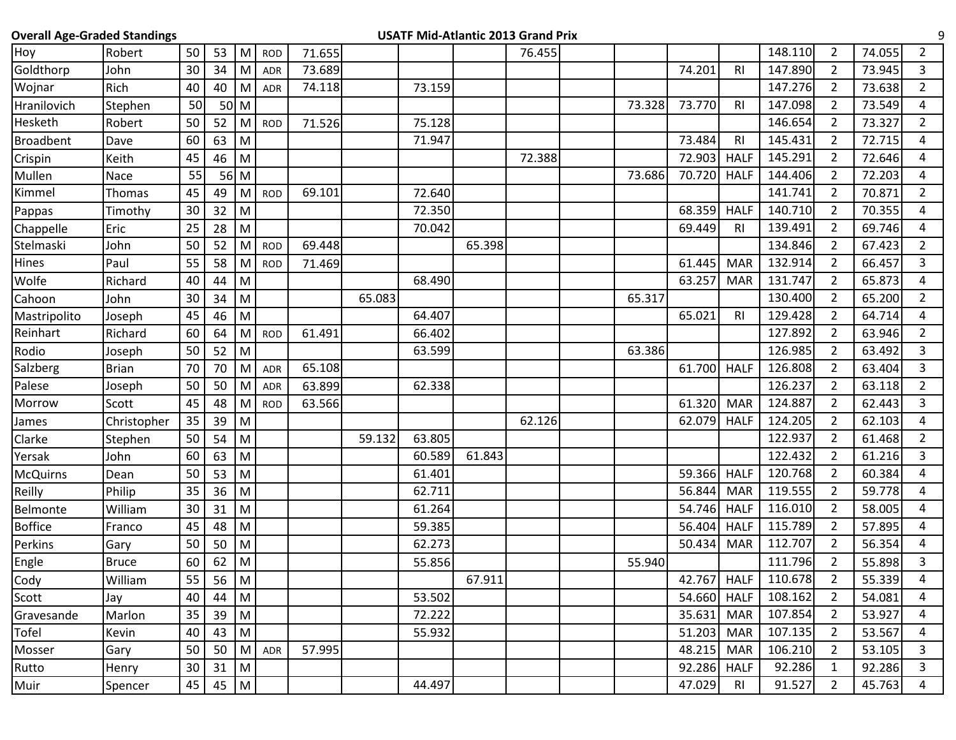|  |  |  | <b>Overall Age-Graded Standings</b> |  |
|--|--|--|-------------------------------------|--|
|--|--|--|-------------------------------------|--|

## **OVERTE Mid-Atlantic 2013 Grand Prix** 9

| Hoy              | Robert       | 50 | 53   | M            | <b>ROD</b> | 71.655 |        |        |        | 76.455 |        |             |                | 148.110 | $\overline{2}$ | 74.055 | $\overline{2}$          |
|------------------|--------------|----|------|--------------|------------|--------|--------|--------|--------|--------|--------|-------------|----------------|---------|----------------|--------|-------------------------|
| Goldthorp        | John         | 30 | 34   | M            | <b>ADR</b> | 73.689 |        |        |        |        |        | 74.201      | R1             | 147.890 | $\overline{2}$ | 73.945 | $\overline{\mathbf{3}}$ |
| Wojnar           | Rich         | 40 | 40   | M            | ADR        | 74.118 |        | 73.159 |        |        |        |             |                | 147.276 | $\overline{2}$ | 73.638 | $\overline{2}$          |
| Hranilovich      | Stephen      | 50 |      | $50$ M       |            |        |        |        |        |        | 73.328 | 73.770      | <b>RI</b>      | 147.098 | $\overline{2}$ | 73.549 | 4                       |
| Hesketh          | Robert       | 50 | 52   | M            | <b>ROD</b> | 71.526 |        | 75.128 |        |        |        |             |                | 146.654 | $\overline{2}$ | 73.327 | $\overline{2}$          |
| <b>Broadbent</b> | Dave         | 60 | 63   | M            |            |        |        | 71.947 |        |        |        | 73.484      | R <sub>l</sub> | 145.431 | $\overline{2}$ | 72.715 | 4                       |
| Crispin          | Keith        | 45 | 46   | M            |            |        |        |        |        | 72.388 |        | 72.903      | <b>HALF</b>    | 145.291 | $\overline{2}$ | 72.646 | 4                       |
| Mullen           | Nace         | 55 | 56 M |              |            |        |        |        |        |        | 73.686 | 70.720      | <b>HALF</b>    | 144.406 | $\overline{2}$ | 72.203 | 4                       |
| Kimmel           | Thomas       | 45 | 49   | M            | <b>ROD</b> | 69.101 |        | 72.640 |        |        |        |             |                | 141.741 | $\overline{2}$ | 70.871 | $\overline{2}$          |
| Pappas           | Timothy      | 30 | 32   | M            |            |        |        | 72.350 |        |        |        | 68.359      | <b>HALF</b>    | 140.710 | $\overline{2}$ | 70.355 | 4                       |
| Chappelle        | Eric         | 25 | 28   | M            |            |        |        | 70.042 |        |        |        | 69.449      | <b>RI</b>      | 139.491 | $\overline{2}$ | 69.746 | 4                       |
| Stelmaski        | John         | 50 | 52   | M            | <b>ROD</b> | 69.448 |        |        | 65.398 |        |        |             |                | 134.846 | $\overline{2}$ | 67.423 | $\overline{2}$          |
| Hines            | Paul         | 55 | 58   | M            | <b>ROD</b> | 71.469 |        |        |        |        |        | 61.445      | <b>MAR</b>     | 132.914 | $\overline{2}$ | 66.457 | 3                       |
| Wolfe            | Richard      | 40 | 44   | M            |            |        |        | 68.490 |        |        |        | 63.257      | <b>MAR</b>     | 131.747 | $\overline{2}$ | 65.873 | 4                       |
| Cahoon           | John         | 30 | 34   | M            |            |        | 65.083 |        |        |        | 65.317 |             |                | 130.400 | $\overline{2}$ | 65.200 | $\overline{2}$          |
| Mastripolito     | Joseph       | 45 | 46   | M            |            |        |        | 64.407 |        |        |        | 65.021      | <b>RI</b>      | 129.428 | $\overline{2}$ | 64.714 | 4                       |
| Reinhart         | Richard      | 60 | 64   | M            | <b>ROD</b> | 61.491 |        | 66.402 |        |        |        |             |                | 127.892 | $\overline{2}$ | 63.946 | $\overline{2}$          |
| Rodio            | Joseph       | 50 | 52   | M            |            |        |        | 63.599 |        |        | 63.386 |             |                | 126.985 | $\overline{2}$ | 63.492 | 3                       |
| Salzberg         | <b>Brian</b> | 70 | 70   | M            | ADR        | 65.108 |        |        |        |        |        | 61.700      | <b>HALF</b>    | 126.808 | $2^{\circ}$    | 63.404 | 3                       |
| Palese           | Joseph       | 50 | 50   | M            | <b>ADR</b> | 63.899 |        | 62.338 |        |        |        |             |                | 126.237 | $\overline{2}$ | 63.118 | $\overline{2}$          |
| Morrow           | Scott        | 45 | 48   | M            | <b>ROD</b> | 63.566 |        |        |        |        |        | 61.320      | <b>MAR</b>     | 124.887 | $\overline{2}$ | 62.443 | 3                       |
| James            | Christopher  | 35 | 39   | M            |            |        |        |        |        | 62.126 |        | 62.079      | <b>HALF</b>    | 124.205 | $\overline{2}$ | 62.103 | 4                       |
| Clarke           | Stephen      | 50 | 54   | M            |            |        | 59.132 | 63.805 |        |        |        |             |                | 122.937 | $\overline{2}$ | 61.468 | $\overline{2}$          |
| Yersak           | John         | 60 | 63   | M            |            |        |        | 60.589 | 61.843 |        |        |             |                | 122.432 | $\overline{2}$ | 61.216 | 3                       |
| <b>McQuirns</b>  | Dean         | 50 | 53   | M            |            |        |        | 61.401 |        |        |        | 59.366      | <b>HALF</b>    | 120.768 | $\overline{2}$ | 60.384 | 4                       |
| Reilly           | Philip       | 35 | 36   | M            |            |        |        | 62.711 |        |        |        | 56.844      | <b>MAR</b>     | 119.555 | $\overline{2}$ | 59.778 | 4                       |
| Belmonte         | William      | 30 | 31   | M            |            |        |        | 61.264 |        |        |        | 54.746      | <b>HALF</b>    | 116.010 | $\overline{2}$ | 58.005 | 4                       |
| <b>Boffice</b>   | Franco       | 45 | 48   | M            |            |        |        | 59.385 |        |        |        | 56.404      | <b>HALF</b>    | 115.789 | $\overline{2}$ | 57.895 | 4                       |
| Perkins          | Gary         | 50 | 50   | M            |            |        |        | 62.273 |        |        |        | 50.434      | <b>MAR</b>     | 112.707 | $\overline{2}$ | 56.354 | 4                       |
| Engle            | <b>Bruce</b> | 60 | 62   | M            |            |        |        | 55.856 |        |        | 55.940 |             |                | 111.796 | $\overline{2}$ | 55.898 | 3                       |
| Cody             | William      | 55 | 56   | M            |            |        |        |        | 67.911 |        |        | 42.767      | <b>HALF</b>    | 110.678 | $\overline{2}$ | 55.339 | 4                       |
| Scott            | Jay          | 40 | 44   | M            |            |        |        | 53.502 |        |        |        | 54.660 HALF |                | 108.162 | 2              | 54.081 | 4                       |
| Gravesande       | Marlon       | 35 | 39   | M            |            |        |        | 72.222 |        |        |        | 35.631      | <b>MAR</b>     | 107.854 | $\overline{2}$ | 53.927 | 4                       |
| Tofel            | Kevin        | 40 | 43   | M            |            |        |        | 55.932 |        |        |        | 51.203      | <b>MAR</b>     | 107.135 | 2              | 53.567 | 4                       |
| Mosser           | Gary         | 50 | 50   | M            | ADR        | 57.995 |        |        |        |        |        | 48.215      | <b>MAR</b>     | 106.210 | $\overline{2}$ | 53.105 | 3                       |
| Rutto            | Henry        | 30 | 31   | M            |            |        |        |        |        |        |        | 92.286 HALF |                | 92.286  | $\mathbf{1}$   | 92.286 | 3                       |
| Muir             | Spencer      | 45 | 45   | $\mathsf{M}$ |            |        |        | 44.497 |        |        |        | 47.029      | R <sub>l</sub> | 91.527  | $\mathbf{2}$   | 45.763 | 4                       |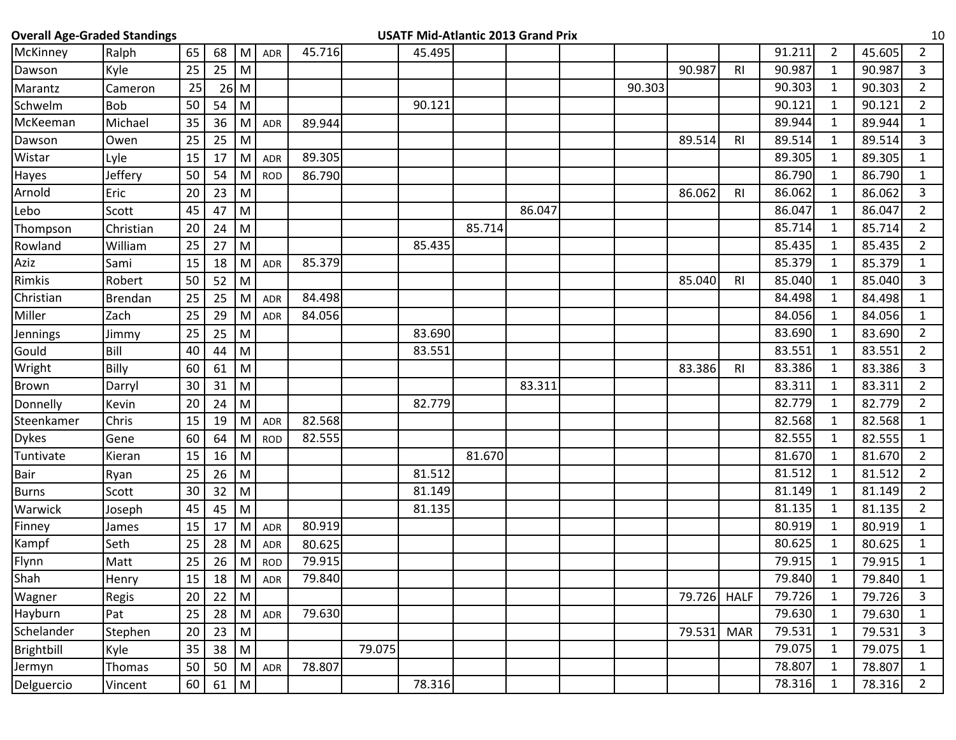| <b>Overall Age-Graded Standings</b> |                |    |    |              |            |        |        | <b>USATF Mid-Atlantic 2013 Grand Prix</b> |        |        |        |        |                |        |                |        | 10             |
|-------------------------------------|----------------|----|----|--------------|------------|--------|--------|-------------------------------------------|--------|--------|--------|--------|----------------|--------|----------------|--------|----------------|
| McKinney                            | Ralph          | 65 | 68 | M            | <b>ADR</b> | 45.716 |        | 45.495                                    |        |        |        |        |                | 91.211 | $\overline{2}$ | 45.605 | $\overline{2}$ |
| Dawson                              | Kyle           | 25 | 25 | M            |            |        |        |                                           |        |        |        | 90.987 | R <sub>l</sub> | 90.987 | $\mathbf{1}$   | 90.987 | 3              |
| Marantz                             | Cameron        | 25 |    | $26$ M       |            |        |        |                                           |        |        | 90.303 |        |                | 90.303 | $\mathbf{1}$   | 90.303 | $\overline{2}$ |
| Schwelm                             | <b>Bob</b>     | 50 | 54 | M            |            |        |        | 90.121                                    |        |        |        |        |                | 90.121 | $\mathbf{1}$   | 90.121 | $\overline{2}$ |
| McKeeman                            | Michael        | 35 | 36 | M            | ADR        | 89.944 |        |                                           |        |        |        |        |                | 89.944 | $\mathbf{1}$   | 89.944 | $\mathbf{1}$   |
| Dawson                              | Owen           | 25 | 25 | M            |            |        |        |                                           |        |        |        | 89.514 | <b>RI</b>      | 89.514 | 1              | 89.514 | 3              |
| Wistar                              | Lyle           | 15 | 17 | M            | <b>ADR</b> | 89.305 |        |                                           |        |        |        |        |                | 89.305 | 1              | 89.305 | $\mathbf{1}$   |
| Hayes                               | Jeffery        | 50 | 54 | M            | <b>ROD</b> | 86.790 |        |                                           |        |        |        |        |                | 86.790 | 1              | 86.790 | $\mathbf{1}$   |
| Arnold                              | Eric           | 20 | 23 | M            |            |        |        |                                           |        |        |        | 86.062 | R <sub>l</sub> | 86.062 | $\mathbf{1}$   | 86.062 | 3              |
| Lebo                                | Scott          | 45 | 47 | M            |            |        |        |                                           |        | 86.047 |        |        |                | 86.047 | $\mathbf{1}$   | 86.047 | $\overline{2}$ |
| Thompson                            | Christian      | 20 | 24 | M            |            |        |        |                                           | 85.714 |        |        |        |                | 85.714 | $\mathbf{1}$   | 85.714 | $\overline{2}$ |
| Rowland                             | William        | 25 | 27 | M            |            |        |        | 85.435                                    |        |        |        |        |                | 85.435 | $\mathbf{1}$   | 85.435 | $\overline{2}$ |
| Aziz                                | Sami           | 15 | 18 | M            | ADR        | 85.379 |        |                                           |        |        |        |        |                | 85.379 | $\mathbf{1}$   | 85.379 | $\mathbf{1}$   |
| Rimkis                              | Robert         | 50 | 52 | M            |            |        |        |                                           |        |        |        | 85.040 | <b>RI</b>      | 85.040 | 1              | 85.040 | 3              |
| Christian                           | <b>Brendan</b> | 25 | 25 | M            | ADR        | 84.498 |        |                                           |        |        |        |        |                | 84.498 | $\mathbf{1}$   | 84.498 | $\mathbf{1}$   |
| Miller                              | Zach           | 25 | 29 | M            | <b>ADR</b> | 84.056 |        |                                           |        |        |        |        |                | 84.056 | $\mathbf{1}$   | 84.056 | 1              |
| Jennings                            | Jimmy          | 25 | 25 | M            |            |        |        | 83.690                                    |        |        |        |        |                | 83.690 | $\mathbf{1}$   | 83.690 | $\overline{2}$ |
| Gould                               | Bill           | 40 | 44 | M            |            |        |        | 83.551                                    |        |        |        |        |                | 83.551 | $\mathbf{1}$   | 83.551 | $\overline{2}$ |
| Wright                              | <b>Billy</b>   | 60 | 61 | M            |            |        |        |                                           |        |        |        | 83.386 | R <sub>l</sub> | 83.386 | 1              | 83.386 | 3              |
| Brown                               | Darryl         | 30 | 31 | M            |            |        |        |                                           |        | 83.311 |        |        |                | 83.311 | $\mathbf{1}$   | 83.311 | $\overline{2}$ |
| Donnelly                            | Kevin          | 20 | 24 | M            |            |        |        | 82.779                                    |        |        |        |        |                | 82.779 | $\mathbf{1}$   | 82.779 | $\overline{2}$ |
| Steenkamer                          | Chris          | 15 | 19 | M            | <b>ADR</b> | 82.568 |        |                                           |        |        |        |        |                | 82.568 | $\mathbf{1}$   | 82.568 | $\mathbf{1}$   |
| <b>Dykes</b>                        | Gene           | 60 | 64 | M            | <b>ROD</b> | 82.555 |        |                                           |        |        |        |        |                | 82.555 | 1              | 82.555 | 1              |
| Tuntivate                           | Kieran         | 15 | 16 | M            |            |        |        |                                           | 81.670 |        |        |        |                | 81.670 | $\mathbf{1}$   | 81.670 | $\overline{2}$ |
| Bair                                | Ryan           | 25 | 26 | M            |            |        |        | 81.512                                    |        |        |        |        |                | 81.512 | $\mathbf{1}$   | 81.512 | $\overline{2}$ |
| <b>Burns</b>                        | Scott          | 30 | 32 | M            |            |        |        | 81.149                                    |        |        |        |        |                | 81.149 | 1              | 81.149 | $2^{\circ}$    |
| Warwick                             | Joseph         | 45 | 45 | M            |            |        |        | 81.135                                    |        |        |        |        |                | 81.135 | 1              | 81.135 | $\overline{2}$ |
| Finney                              | James          | 15 | 17 | M            | <b>ADR</b> | 80.919 |        |                                           |        |        |        |        |                | 80.919 | $\mathbf{1}$   | 80.919 | 1              |
| Kampf                               | Seth           | 25 | 28 | M            | <b>ADR</b> | 80.625 |        |                                           |        |        |        |        |                | 80.625 | $\mathbf{1}$   | 80.625 | $\mathbf{1}$   |
| Flynn                               | Matt           | 25 | 26 | M            | <b>ROD</b> | 79.915 |        |                                           |        |        |        |        |                | 79.915 | 1              | 79.915 | $\mathbf{1}$   |
| Shah                                | Henry          | 15 | 18 |              | M ADR      | 79.840 |        |                                           |        |        |        |        |                | 79.840 | $\mathbf{1}$   | 79.840 | $\mathbf 1$    |
| Wagner                              | Regis          | 20 | 22 | ${\sf M}$    |            |        |        |                                           |        |        |        | 79.726 | <b>HALF</b>    | 79.726 | $\mathbf{1}$   | 79.726 | 3              |
| Hayburn                             | Pat            | 25 | 28 | M            | ADR        | 79.630 |        |                                           |        |        |        |        |                | 79.630 | $\mathbf{1}$   | 79.630 | $\mathbf{1}$   |
| Schelander                          | Stephen        | 20 | 23 | ${\sf M}$    |            |        |        |                                           |        |        |        | 79.531 | <b>MAR</b>     | 79.531 | $\mathbf{1}$   | 79.531 | 3              |
| Brightbill                          | Kyle           | 35 | 38 | M            |            |        | 79.075 |                                           |        |        |        |        |                | 79.075 | $\mathbf{1}$   | 79.075 | $\mathbf{1}$   |
| Jermyn                              | Thomas         | 50 | 50 | M            | ADR        | 78.807 |        |                                           |        |        |        |        |                | 78.807 | $\mathbf{1}$   | 78.807 | $\mathbf{1}$   |
| Delguercio                          | Vincent        | 60 | 61 | $\mathsf{M}$ |            |        |        | 78.316                                    |        |        |        |        |                | 78.316 | $\mathbf{1}$   | 78.316 | $2^{\circ}$    |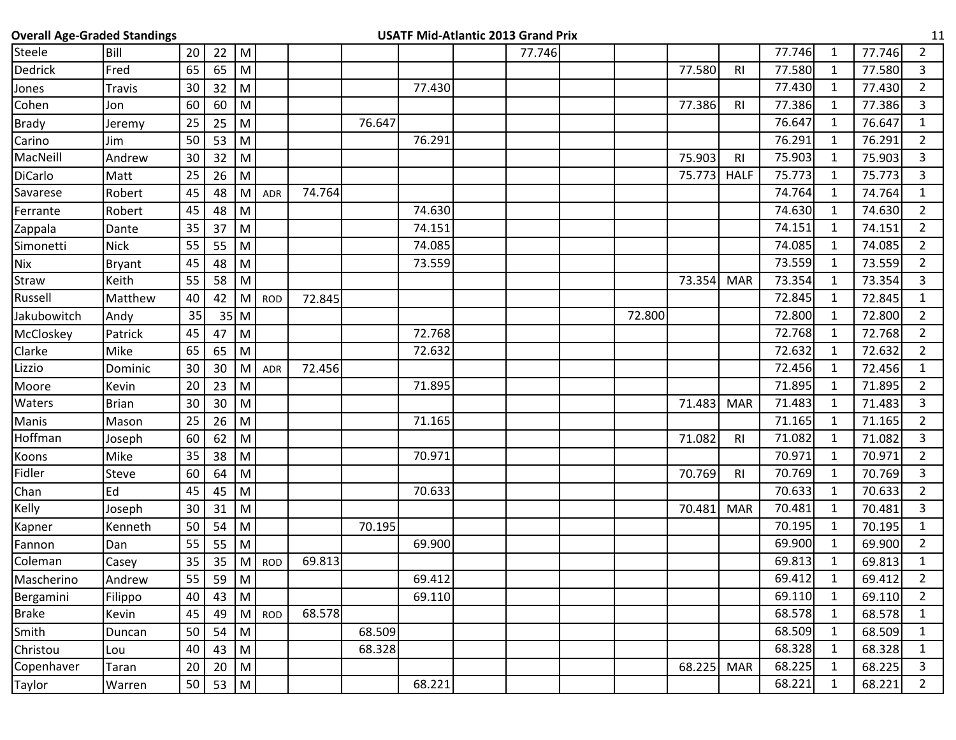| <b>Overall Age-Graded Standings</b> |               |    |                  |                                                                                                            |            |        |        |        | <b>USATF Mid-Atlantic 2013 Grand Prix</b> |        |        |                |        |              |        | 11             |
|-------------------------------------|---------------|----|------------------|------------------------------------------------------------------------------------------------------------|------------|--------|--------|--------|-------------------------------------------|--------|--------|----------------|--------|--------------|--------|----------------|
| Steele                              | Bill          | 20 | 22               | M                                                                                                          |            |        |        |        | 77.746                                    |        |        |                | 77.746 | 1            | 77.746 | $\overline{a}$ |
| <b>Dedrick</b>                      | Fred          | 65 | 65               | M                                                                                                          |            |        |        |        |                                           |        | 77.580 | R1             | 77.580 | $\mathbf{1}$ | 77.580 | 3              |
| Jones                               | <b>Travis</b> | 30 | 32               | ${\sf M}$                                                                                                  |            |        |        | 77.430 |                                           |        |        |                | 77.430 | $\mathbf{1}$ | 77.430 | $\overline{2}$ |
| Cohen                               | Jon           | 60 | 60               | M                                                                                                          |            |        |        |        |                                           |        | 77.386 | R <sub>l</sub> | 77.386 | 1            | 77.386 | 3              |
| <b>Brady</b>                        | Jeremy        | 25 | 25               | M                                                                                                          |            |        | 76.647 |        |                                           |        |        |                | 76.647 | $\mathbf{1}$ | 76.647 | $\mathbf{1}$   |
| Carino                              | Jim           | 50 | 53               | M                                                                                                          |            |        |        | 76.291 |                                           |        |        |                | 76.291 | $\mathbf{1}$ | 76.291 | $\overline{2}$ |
| MacNeill                            | Andrew        | 30 | 32               | ${\sf M}$                                                                                                  |            |        |        |        |                                           |        | 75.903 | R <sub>l</sub> | 75.903 | $\mathbf{1}$ | 75.903 | 3              |
| DiCarlo                             | Matt          | 25 | 26               | M                                                                                                          |            |        |        |        |                                           |        | 75.773 | <b>HALF</b>    | 75.773 | 1            | 75.773 | 3              |
| Savarese                            | Robert        | 45 | 48               | M                                                                                                          | ADR        | 74.764 |        |        |                                           |        |        |                | 74.764 | $\mathbf{1}$ | 74.764 | $\mathbf{1}$   |
| Ferrante                            | Robert        | 45 | 48               | M                                                                                                          |            |        |        | 74.630 |                                           |        |        |                | 74.630 | $\mathbf{1}$ | 74.630 | $\overline{2}$ |
| Zappala                             | Dante         | 35 | 37               | M                                                                                                          |            |        |        | 74.151 |                                           |        |        |                | 74.151 | $\mathbf{1}$ | 74.151 | $\overline{2}$ |
| Simonetti                           | <b>Nick</b>   | 55 | 55               | M                                                                                                          |            |        |        | 74.085 |                                           |        |        |                | 74.085 | $\mathbf{1}$ | 74.085 | $\overline{2}$ |
| <b>Nix</b>                          | <b>Bryant</b> | 45 | 48               | M                                                                                                          |            |        |        | 73.559 |                                           |        |        |                | 73.559 | $\mathbf{1}$ | 73.559 | $\overline{2}$ |
| Straw                               | Keith         | 55 | 58               | ${\sf M}$                                                                                                  |            |        |        |        |                                           |        | 73.354 | <b>MAR</b>     | 73.354 | $\mathbf{1}$ | 73.354 | 3              |
| Russell                             | Matthew       | 40 | 42               | M                                                                                                          | <b>ROD</b> | 72.845 |        |        |                                           |        |        |                | 72.845 | $\mathbf{1}$ | 72.845 | $\mathbf{1}$   |
| Jakubowitch                         | Andy          | 35 |                  | $35$ M                                                                                                     |            |        |        |        |                                           | 72.800 |        |                | 72.800 | 1            | 72.800 | $\overline{2}$ |
| McCloskey                           | Patrick       | 45 | 47               | M                                                                                                          |            |        |        | 72.768 |                                           |        |        |                | 72.768 | $\mathbf{1}$ | 72.768 | $\overline{2}$ |
| Clarke                              | Mike          | 65 | 65               | M                                                                                                          |            |        |        | 72.632 |                                           |        |        |                | 72.632 | 1            | 72.632 | $\overline{2}$ |
| Lizzio                              | Dominic       | 30 | 30               | M                                                                                                          | ADR        | 72.456 |        |        |                                           |        |        |                | 72.456 | $\mathbf{1}$ | 72.456 | $\mathbf{1}$   |
| Moore                               | Kevin         | 20 | 23               | M                                                                                                          |            |        |        | 71.895 |                                           |        |        |                | 71.895 | $\mathbf{1}$ | 71.895 | $\overline{2}$ |
| Waters                              | <b>Brian</b>  | 30 | 30               | M                                                                                                          |            |        |        |        |                                           |        | 71.483 | <b>MAR</b>     | 71.483 | 1            | 71.483 | 3              |
| Manis                               | Mason         | 25 | 26               | M                                                                                                          |            |        |        | 71.165 |                                           |        |        |                | 71.165 | $\mathbf{1}$ | 71.165 | $\overline{2}$ |
| Hoffman                             | Joseph        | 60 | 62               | M                                                                                                          |            |        |        |        |                                           |        | 71.082 | R <sub>l</sub> | 71.082 | 1            | 71.082 | 3              |
| Koons                               | Mike          | 35 | 38               | M                                                                                                          |            |        |        | 70.971 |                                           |        |        |                | 70.971 | $\mathbf{1}$ | 70.971 | $\overline{2}$ |
| Fidler                              | <b>Steve</b>  | 60 | 64               | M                                                                                                          |            |        |        |        |                                           |        | 70.769 | R <sub>l</sub> | 70.769 | $\mathbf{1}$ | 70.769 | 3              |
| Chan                                | Ed            | 45 | 45               | ${\sf M}$                                                                                                  |            |        |        | 70.633 |                                           |        |        |                | 70.633 | $\mathbf{1}$ | 70.633 | $\overline{2}$ |
| Kelly                               | Joseph        | 30 | 31               | M                                                                                                          |            |        |        |        |                                           |        | 70.481 | <b>MAR</b>     | 70.481 | 1            | 70.481 | 3              |
| Kapner                              | Kenneth       | 50 | 54               | M                                                                                                          |            |        | 70.195 |        |                                           |        |        |                | 70.195 | $\mathbf{1}$ | 70.195 | $\mathbf{1}$   |
| Fannon                              | Dan           | 55 | 55               | M                                                                                                          |            |        |        | 69.900 |                                           |        |        |                | 69.900 | $\mathbf{1}$ | 69.900 | $\overline{2}$ |
| Coleman                             | Casey         | 35 | 35               | M                                                                                                          | <b>ROD</b> | 69.813 |        |        |                                           |        |        |                | 69.813 | $\mathbf{1}$ | 69.813 | $\mathbf{1}$   |
| Mascherino                          | Andrew        | 55 | 59               | $\vert M \vert$                                                                                            |            |        |        | 69.412 |                                           |        |        |                | 69.412 | $\mathbf{1}$ | 69.412 | $\overline{2}$ |
| Bergamini                           | Filippo       | 40 | 43               | M                                                                                                          |            |        |        | 69.110 |                                           |        |        |                | 69.110 | $\mathbf{1}$ | 69.110 | $\overline{2}$ |
| <b>Brake</b>                        | Kevin         | 45 | 49               | M                                                                                                          | <b>ROD</b> | 68.578 |        |        |                                           |        |        |                | 68.578 | $\mathbf{1}$ | 68.578 | $\mathbf{1}$   |
| Smith                               | Duncan        | 50 | 54               | ${\sf M}$                                                                                                  |            |        | 68.509 |        |                                           |        |        |                | 68.509 | $\mathbf{1}$ | 68.509 | $\mathbf{1}$   |
| Christou                            | Lou           | 40 | 43               | M                                                                                                          |            |        | 68.328 |        |                                           |        |        |                | 68.328 | $\mathbf{1}$ | 68.328 | $\mathbf{1}$   |
| Copenhaver                          | Taran         | 20 | 20               | $\mathsf{M}% _{T}=\mathsf{M}_{T}\!\left( a,b\right) ,\ \mathsf{M}_{T}=\mathsf{M}_{T}\!\left( a,b\right) ,$ |            |        |        |        |                                           |        | 68.225 | <b>MAR</b>     | 68.225 | $\mathbf{1}$ | 68.225 | $\mathbf{3}$   |
| Taylor                              | Warren        | 50 | $53 \mid M \mid$ |                                                                                                            |            |        |        | 68.221 |                                           |        |        |                | 68.221 | $\mathbf{1}$ | 68.221 | $\overline{2}$ |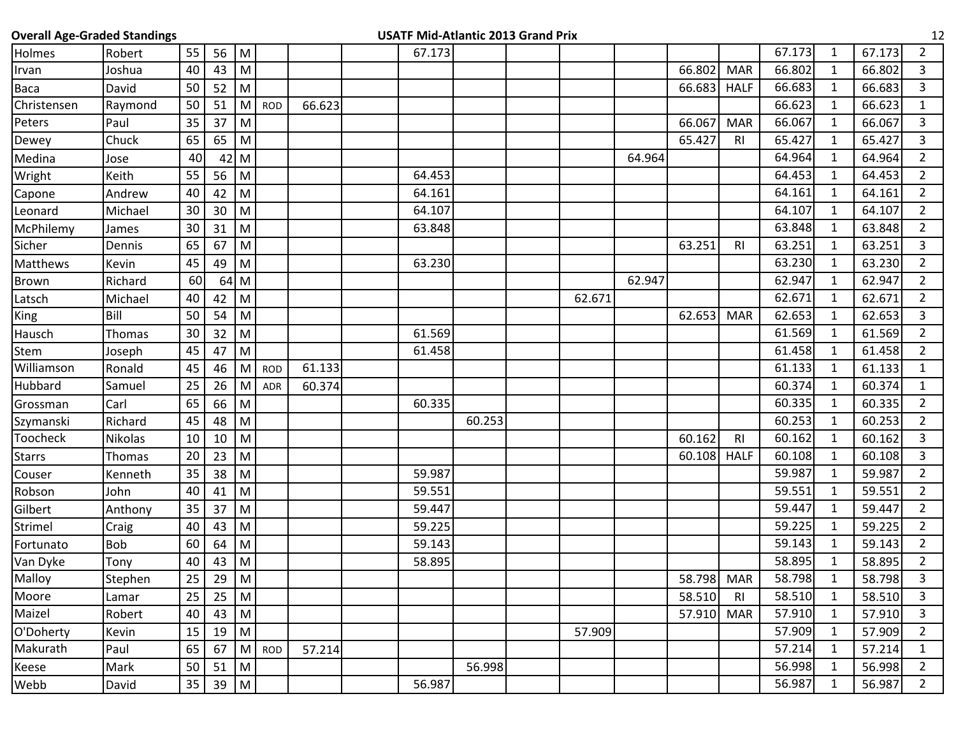| <b>Overall Age-Graded Standings</b><br>12<br><b>USATF Mid-Atlantic 2013 Grand Prix</b> |            |    |          |                                                                                                            |            |        |  |        |        |  |        |        |            |                |        |              |        |                |
|----------------------------------------------------------------------------------------|------------|----|----------|------------------------------------------------------------------------------------------------------------|------------|--------|--|--------|--------|--|--------|--------|------------|----------------|--------|--------------|--------|----------------|
| Holmes                                                                                 | Robert     | 55 | 56       | M                                                                                                          |            |        |  | 67.173 |        |  |        |        |            |                | 67.173 | $\mathbf{1}$ | 67.173 | $\overline{2}$ |
| Irvan                                                                                  | Joshua     | 40 | 43       | ${\sf M}$                                                                                                  |            |        |  |        |        |  |        |        | 66.802     | <b>MAR</b>     | 66.802 | $\mathbf{1}$ | 66.802 | 3              |
| Baca                                                                                   | David      | 50 | 52       | M                                                                                                          |            |        |  |        |        |  |        |        | 66.683     | <b>HALF</b>    | 66.683 | $\mathbf{1}$ | 66.683 | 3              |
| Christensen                                                                            | Raymond    | 50 | 51       | M                                                                                                          | <b>ROD</b> | 66.623 |  |        |        |  |        |        |            |                | 66.623 | $\mathbf{1}$ | 66.623 | $\mathbf{1}$   |
| Peters                                                                                 | Paul       | 35 | 37       | M                                                                                                          |            |        |  |        |        |  |        |        | 66.067     | <b>MAR</b>     | 66.067 | $\mathbf{1}$ | 66.067 | $\overline{3}$ |
| Dewey                                                                                  | Chuck      | 65 | 65       | M                                                                                                          |            |        |  |        |        |  |        |        | 65.427     | <b>RI</b>      | 65.427 | $\mathbf{1}$ | 65.427 | 3              |
| Medina                                                                                 | Jose       | 40 |          | $42$ M                                                                                                     |            |        |  |        |        |  |        | 64.964 |            |                | 64.964 | $\mathbf{1}$ | 64.964 | $\overline{2}$ |
| Wright                                                                                 | Keith      | 55 | 56       | M                                                                                                          |            |        |  | 64.453 |        |  |        |        |            |                | 64.453 | $\mathbf{1}$ | 64.453 | $\overline{2}$ |
| Capone                                                                                 | Andrew     | 40 | 42       | $\mathsf{M}% _{T}=\mathsf{M}_{T}\!\left( a,b\right) ,\ \mathsf{M}_{T}=\mathsf{M}_{T}$                      |            |        |  | 64.161 |        |  |        |        |            |                | 64.161 | $\mathbf{1}$ | 64.161 | $2^{\circ}$    |
| Leonard                                                                                | Michael    | 30 | 30       | M                                                                                                          |            |        |  | 64.107 |        |  |        |        |            |                | 64.107 | $\mathbf{1}$ | 64.107 | $\overline{2}$ |
| McPhilemy                                                                              | James      | 30 | 31       | ${\sf M}$                                                                                                  |            |        |  | 63.848 |        |  |        |        |            |                | 63.848 | $\mathbf{1}$ | 63.848 | $\overline{2}$ |
| Sicher                                                                                 | Dennis     | 65 | 67       | M                                                                                                          |            |        |  |        |        |  |        |        | 63.251     | R <sub>l</sub> | 63.251 | $\mathbf{1}$ | 63.251 | $\overline{3}$ |
| Matthews                                                                               | Kevin      | 45 | 49       | M                                                                                                          |            |        |  | 63.230 |        |  |        |        |            |                | 63.230 | $\mathbf{1}$ | 63.230 | $\overline{2}$ |
| <b>Brown</b>                                                                           | Richard    | 60 | 64       | M                                                                                                          |            |        |  |        |        |  |        | 62.947 |            |                | 62.947 | $\mathbf{1}$ | 62.947 | $\overline{2}$ |
| Latsch                                                                                 | Michael    | 40 | 42       | ${\sf M}$                                                                                                  |            |        |  |        |        |  | 62.671 |        |            |                | 62.671 | $\mathbf{1}$ | 62.671 | $\overline{2}$ |
| King                                                                                   | Bill       | 50 | 54       | M                                                                                                          |            |        |  |        |        |  |        |        | 62.653     | <b>MAR</b>     | 62.653 | $\mathbf{1}$ | 62.653 | $\mathbf{3}$   |
| Hausch                                                                                 | Thomas     | 30 | 32       | M                                                                                                          |            |        |  | 61.569 |        |  |        |        |            |                | 61.569 | $\mathbf{1}$ | 61.569 | $\overline{2}$ |
| Stem                                                                                   | Joseph     | 45 | 47       | ${\sf M}$                                                                                                  |            |        |  | 61.458 |        |  |        |        |            |                | 61.458 | $\mathbf{1}$ | 61.458 | $2^{\circ}$    |
| Williamson                                                                             | Ronald     | 45 | 46       | M                                                                                                          | <b>ROD</b> | 61.133 |  |        |        |  |        |        |            |                | 61.133 | $\mathbf{1}$ | 61.133 | 1              |
| Hubbard                                                                                | Samuel     | 25 | 26       | M                                                                                                          | <b>ADR</b> | 60.374 |  |        |        |  |        |        |            |                | 60.374 | 1            | 60.374 | $\mathbf{1}$   |
| Grossman                                                                               | Carl       | 65 | 66       | ${\sf M}$                                                                                                  |            |        |  | 60.335 |        |  |        |        |            |                | 60.335 | $\mathbf{1}$ | 60.335 | $\overline{2}$ |
| Szymanski                                                                              | Richard    | 45 | 48       | ${\sf M}$                                                                                                  |            |        |  |        | 60.253 |  |        |        |            |                | 60.253 | $\mathbf{1}$ | 60.253 | $2^{\circ}$    |
| Toocheck                                                                               | Nikolas    | 10 | 10       | M                                                                                                          |            |        |  |        |        |  |        |        | 60.162     | R <sub>l</sub> | 60.162 | $\mathbf{1}$ | 60.162 | $\mathbf{3}$   |
| <b>Starrs</b>                                                                          | Thomas     | 20 | 23       | ${\sf M}$                                                                                                  |            |        |  |        |        |  |        |        | 60.108     | <b>HALF</b>    | 60.108 | $\mathbf{1}$ | 60.108 | $\overline{3}$ |
| Couser                                                                                 | Kenneth    | 35 | 38       | ${\sf M}$                                                                                                  |            |        |  | 59.987 |        |  |        |        |            |                | 59.987 | $\mathbf{1}$ | 59.987 | $\overline{2}$ |
| Robson                                                                                 | John       | 40 | 41       | ${\sf M}$                                                                                                  |            |        |  | 59.551 |        |  |        |        |            |                | 59.551 | $\mathbf{1}$ | 59.551 | $\overline{2}$ |
| Gilbert                                                                                | Anthony    | 35 | 37       | ${\sf M}$                                                                                                  |            |        |  | 59.447 |        |  |        |        |            |                | 59.447 | $\mathbf{1}$ | 59.447 | $\overline{2}$ |
| Strimel                                                                                | Craig      | 40 | 43       | ${\sf M}$                                                                                                  |            |        |  | 59.225 |        |  |        |        |            |                | 59.225 | $\mathbf{1}$ | 59.225 | $2^{\circ}$    |
| Fortunato                                                                              | <b>Bob</b> | 60 | 64       | M                                                                                                          |            |        |  | 59.143 |        |  |        |        |            |                | 59.143 | $\mathbf{1}$ | 59.143 | $\overline{2}$ |
| Van Dyke                                                                               | Tony       | 40 | 43       | ${\sf M}$                                                                                                  |            |        |  | 58.895 |        |  |        |        |            |                | 58.895 | $\mathbf{1}$ | 58.895 | $\overline{2}$ |
| Malloy                                                                                 | Stephen    | 25 | 29 $ M $ |                                                                                                            |            |        |  |        |        |  |        |        | 58.798 MAR |                | 58.798 | $\mathbf{1}$ | 58.798 | 3              |
| Moore                                                                                  | Lamar      | 25 | 25       | $\mathsf{M}% _{T}=\mathsf{M}_{T}\!\left( a,b\right) ,\ \mathsf{M}_{T}=\mathsf{M}_{T}\!\left( a,b\right) ,$ |            |        |  |        |        |  |        |        | 58.510     | R <sub>l</sub> | 58.510 | $\mathbf{1}$ | 58.510 | 3              |
| Maizel                                                                                 | Robert     | 40 | 43       | ${\sf M}$                                                                                                  |            |        |  |        |        |  |        |        | 57.910     | <b>MAR</b>     | 57.910 | $\mathbf{1}$ | 57.910 | 3              |
| O'Doherty                                                                              | Kevin      | 15 | 19       | M                                                                                                          |            |        |  |        |        |  | 57.909 |        |            |                | 57.909 | $\mathbf{1}$ | 57.909 | $\overline{2}$ |
| Makurath                                                                               | Paul       | 65 | 67       | ${\sf M}$                                                                                                  | <b>ROD</b> | 57.214 |  |        |        |  |        |        |            |                | 57.214 | $\mathbf{1}$ | 57.214 | $\mathbf{1}$   |
| Keese                                                                                  | Mark       | 50 | 51       | M                                                                                                          |            |        |  |        | 56.998 |  |        |        |            |                | 56.998 | $\mathbf{1}$ | 56.998 | $2^{\circ}$    |
| Webb                                                                                   | David      | 35 | 39       | M                                                                                                          |            |        |  | 56.987 |        |  |        |        |            |                | 56.987 | $\mathbf{1}$ | 56.987 | $\overline{2}$ |